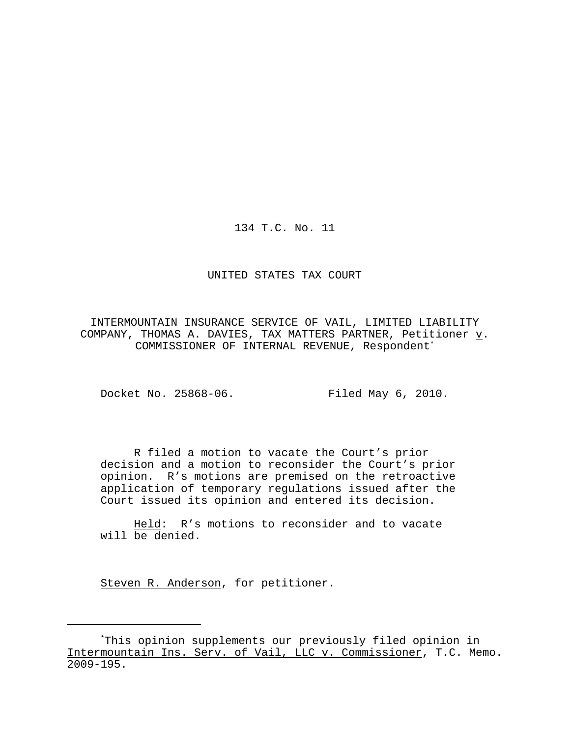134 T.C. No. 11

## UNITED STATES TAX COURT

INTERMOUNTAIN INSURANCE SERVICE OF VAIL, LIMITED LIABILITY COMPANY, THOMAS A. DAVIES, TAX MATTERS PARTNER, Petitioner  $\underline{v}$ . COMMISSIONER OF INTERNAL REVENUE, Respondent\*

Docket No. 25868-06. Filed May 6, 2010.

R filed a motion to vacate the Court's prior decision and a motion to reconsider the Court's prior opinion. R's motions are premised on the retroactive application of temporary regulations issued after the Court issued its opinion and entered its decision.

Held: R's motions to reconsider and to vacate will be denied.

Steven R. Anderson, for petitioner.

<sup>\*</sup>This opinion supplements our previously filed opinion in Intermountain Ins. Serv. of Vail, LLC v. Commissioner, T.C. Memo. 2009-195.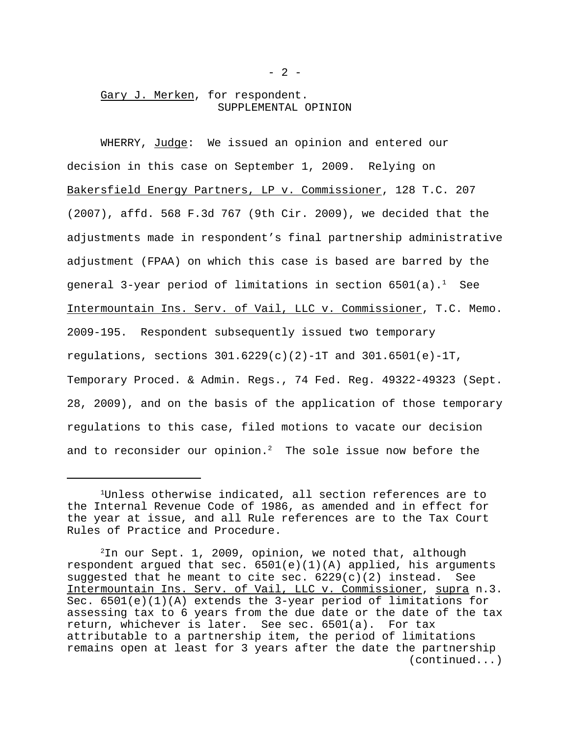# Gary J. Merken, for respondent. SUPPLEMENTAL OPINION

WHERRY, Judge: We issued an opinion and entered our decision in this case on September 1, 2009. Relying on Bakersfield Energy Partners, LP v. Commissioner, 128 T.C. 207 (2007), affd. 568 F.3d 767 (9th Cir. 2009), we decided that the adjustments made in respondent's final partnership administrative adjustment (FPAA) on which this case is based are barred by the general 3-year period of limitations in section  $6501(a)$ .<sup>1</sup> See Intermountain Ins. Serv. of Vail, LLC v. Commissioner, T.C. Memo. 2009-195. Respondent subsequently issued two temporary regulations, sections  $301.6229(c)(2)-1T$  and  $301.6501(e)-1T$ , Temporary Proced. & Admin. Regs., 74 Fed. Reg. 49322-49323 (Sept. 28, 2009), and on the basis of the application of those temporary regulations to this case, filed motions to vacate our decision and to reconsider our opinion.<sup>2</sup> The sole issue now before the

<sup>1</sup>Unless otherwise indicated, all section references are to the Internal Revenue Code of 1986, as amended and in effect for the year at issue, and all Rule references are to the Tax Court Rules of Practice and Procedure.

 $2$ In our Sept. 1, 2009, opinion, we noted that, although respondent argued that sec. 6501(e)(1)(A) applied, his arguments suggested that he meant to cite sec.  $6229(c)(2)$  instead. See Intermountain Ins. Serv. of Vail, LLC v. Commissioner, supra n.3. Sec. 6501(e)(1)(A) extends the 3-year period of limitations for assessing tax to 6 years from the due date or the date of the tax return, whichever is later. See sec. 6501(a). For tax attributable to a partnership item, the period of limitations remains open at least for 3 years after the date the partnership (continued...)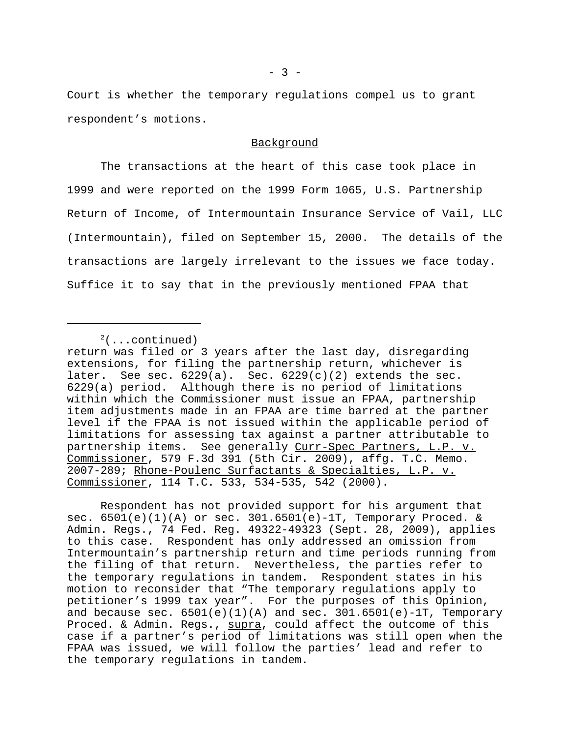Court is whether the temporary regulations compel us to grant respondent's motions.

### Background

The transactions at the heart of this case took place in 1999 and were reported on the 1999 Form 1065, U.S. Partnership Return of Income, of Intermountain Insurance Service of Vail, LLC (Intermountain), filed on September 15, 2000. The details of the transactions are largely irrelevant to the issues we face today. Suffice it to say that in the previously mentioned FPAA that

Respondent has not provided support for his argument that sec. 6501(e)(1)(A) or sec. 301.6501(e)-1T, Temporary Proced. & Admin. Regs., 74 Fed. Reg. 49322-49323 (Sept. 28, 2009), applies to this case. Respondent has only addressed an omission from Intermountain's partnership return and time periods running from the filing of that return. Nevertheless, the parties refer to the temporary regulations in tandem. Respondent states in his motion to reconsider that "The temporary regulations apply to petitioner's 1999 tax year". For the purposes of this Opinion, and because sec.  $6501(e)(1)(A)$  and sec.  $301.6501(e)-1T$ , Temporary Proced. & Admin. Regs., supra, could affect the outcome of this case if a partner's period of limitations was still open when the FPAA was issued, we will follow the parties' lead and refer to the temporary regulations in tandem.

 $2($ ...continued)

return was filed or 3 years after the last day, disregarding extensions, for filing the partnership return, whichever is later. See sec.  $6229(a)$ . Sec.  $6229(c)(2)$  extends the sec. 6229(a) period. Although there is no period of limitations within which the Commissioner must issue an FPAA, partnership item adjustments made in an FPAA are time barred at the partner level if the FPAA is not issued within the applicable period of limitations for assessing tax against a partner attributable to partnership items. See generally Curr-Spec Partners, L.P. v. Commissioner, 579 F.3d 391 (5th Cir. 2009), affg. T.C. Memo. 2007-289; Rhone-Poulenc Surfactants & Specialties, L.P. v. Commissioner, 114 T.C. 533, 534-535, 542 (2000).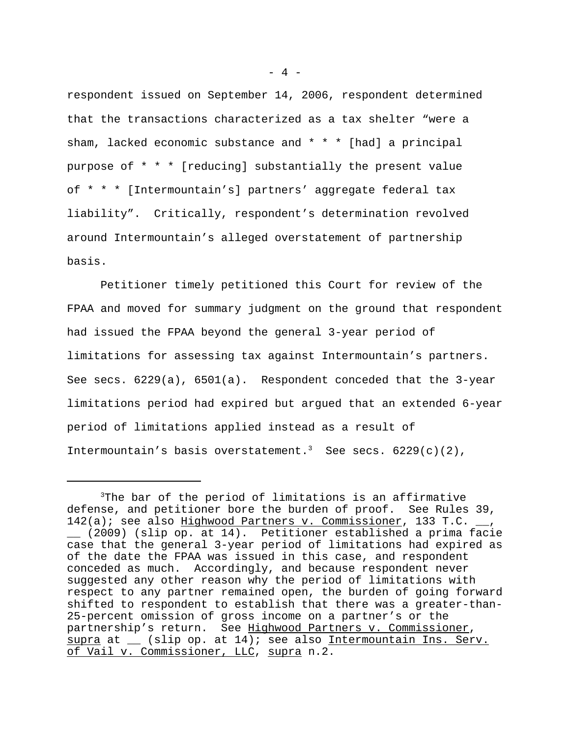respondent issued on September 14, 2006, respondent determined that the transactions characterized as a tax shelter "were a sham, lacked economic substance and \* \* \* [had] a principal purpose of \* \* \* [reducing] substantially the present value of \* \* \* [Intermountain's] partners' aggregate federal tax liability". Critically, respondent's determination revolved around Intermountain's alleged overstatement of partnership basis.

Petitioner timely petitioned this Court for review of the FPAA and moved for summary judgment on the ground that respondent had issued the FPAA beyond the general 3-year period of limitations for assessing tax against Intermountain's partners. See secs.  $6229(a)$ ,  $6501(a)$ . Respondent conceded that the 3-year limitations period had expired but argued that an extended 6-year period of limitations applied instead as a result of Intermountain's basis overstatement.<sup>3</sup> See secs.  $6229(c)(2)$ ,

 $- 4 -$ 

<sup>&</sup>lt;sup>3</sup>The bar of the period of limitations is an affirmative defense, and petitioner bore the burden of proof. See Rules 39, 142(a); see also Highwood Partners v. Commissioner, 133 T.C. \_\_, \_\_ (2009) (slip op. at 14). Petitioner established a prima facie case that the general 3-year period of limitations had expired as of the date the FPAA was issued in this case, and respondent conceded as much. Accordingly, and because respondent never suggested any other reason why the period of limitations with respect to any partner remained open, the burden of going forward shifted to respondent to establish that there was a greater-than-25-percent omission of gross income on a partner's or the partnership's return. See Highwood Partners v. Commissioner, supra at \_\_ (slip op. at 14); see also Intermountain Ins. Serv. of Vail v. Commissioner, LLC, supra n.2.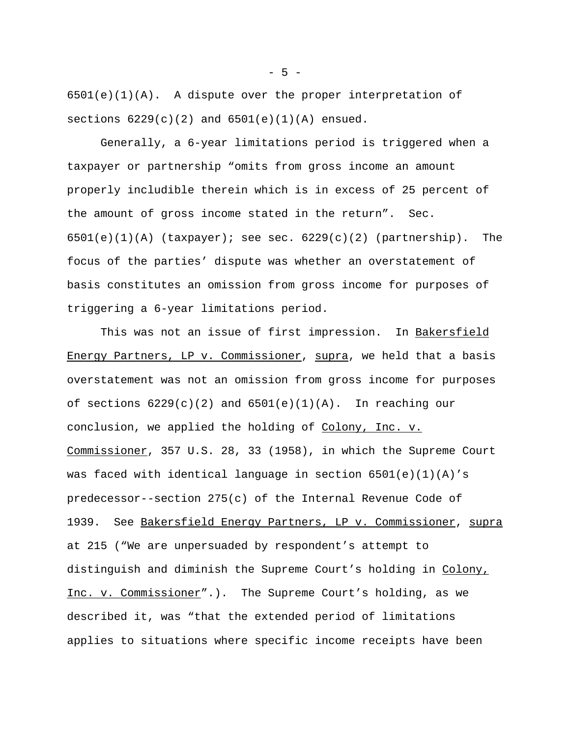$6501(e)(1)(A)$ . A dispute over the proper interpretation of sections  $6229(c)(2)$  and  $6501(e)(1)(A)$  ensued.

Generally, a 6-year limitations period is triggered when a taxpayer or partnership "omits from gross income an amount properly includible therein which is in excess of 25 percent of the amount of gross income stated in the return". Sec.  $6501(e)(1)(A)$  (taxpayer); see sec.  $6229(c)(2)$  (partnership). The focus of the parties' dispute was whether an overstatement of basis constitutes an omission from gross income for purposes of triggering a 6-year limitations period.

This was not an issue of first impression. In Bakersfield Energy Partners, LP v. Commissioner, supra, we held that a basis overstatement was not an omission from gross income for purposes of sections  $6229(c)(2)$  and  $6501(e)(1)(A)$ . In reaching our conclusion, we applied the holding of Colony, Inc. v. Commissioner, 357 U.S. 28, 33 (1958), in which the Supreme Court was faced with identical language in section 6501(e)(1)(A)'s predecessor--section 275(c) of the Internal Revenue Code of 1939. See Bakersfield Energy Partners, LP v. Commissioner, supra at 215 ("We are unpersuaded by respondent's attempt to distinguish and diminish the Supreme Court's holding in Colony, Inc. v. Commissioner".). The Supreme Court's holding, as we described it, was "that the extended period of limitations applies to situations where specific income receipts have been

 $-5 -$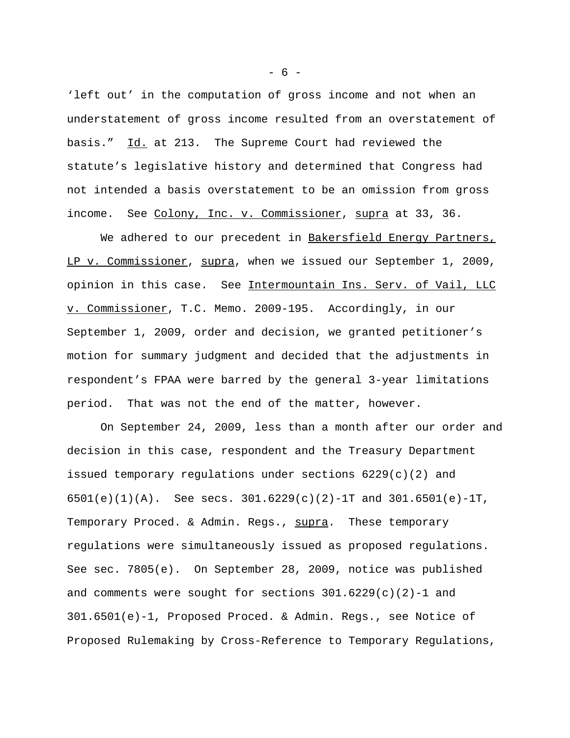'left out' in the computation of gross income and not when an understatement of gross income resulted from an overstatement of basis." Id. at 213. The Supreme Court had reviewed the statute's legislative history and determined that Congress had not intended a basis overstatement to be an omission from gross income. See Colony, Inc. v. Commissioner, supra at 33, 36.

We adhered to our precedent in Bakersfield Energy Partners, LP v. Commissioner, supra, when we issued our September 1, 2009, opinion in this case. See Intermountain Ins. Serv. of Vail, LLC v. Commissioner, T.C. Memo. 2009-195. Accordingly, in our September 1, 2009, order and decision, we granted petitioner's motion for summary judgment and decided that the adjustments in respondent's FPAA were barred by the general 3-year limitations period. That was not the end of the matter, however.

On September 24, 2009, less than a month after our order and decision in this case, respondent and the Treasury Department issued temporary regulations under sections  $6229(c)(2)$  and 6501(e)(1)(A). See secs. 301.6229(c)(2)-1T and 301.6501(e)-1T, Temporary Proced. & Admin. Regs., supra. These temporary regulations were simultaneously issued as proposed regulations. See sec. 7805(e). On September 28, 2009, notice was published and comments were sought for sections  $301.6229(c)(2)-1$  and 301.6501(e)-1, Proposed Proced. & Admin. Regs., see Notice of Proposed Rulemaking by Cross-Reference to Temporary Regulations,

 $- 6 -$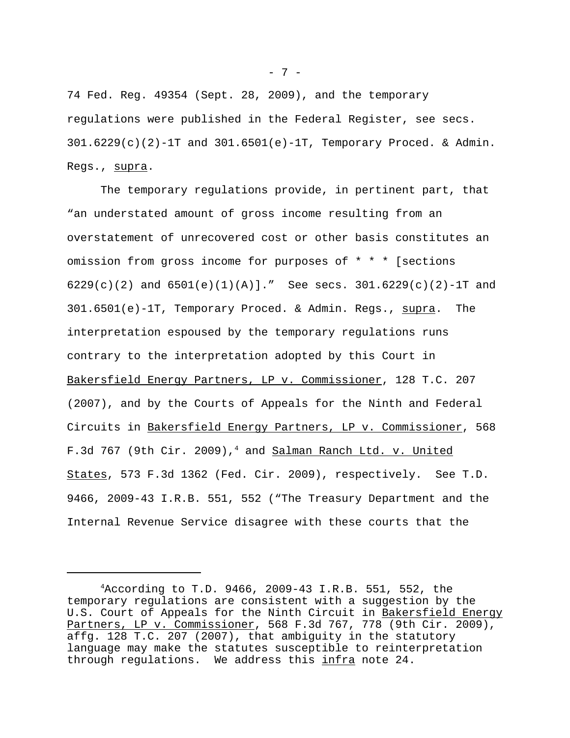74 Fed. Reg. 49354 (Sept. 28, 2009), and the temporary regulations were published in the Federal Register, see secs.  $301.6229(c)(2)-1T$  and  $301.6501(e)-1T$ , Temporary Proced. & Admin. Regs., supra.

The temporary regulations provide, in pertinent part, that "an understated amount of gross income resulting from an overstatement of unrecovered cost or other basis constitutes an omission from gross income for purposes of \* \* \* [sections 6229(c)(2) and 6501(e)(1)(A)]." See secs. 301.6229(c)(2)-1T and 301.6501(e)-1T, Temporary Proced. & Admin. Regs., supra. The interpretation espoused by the temporary regulations runs contrary to the interpretation adopted by this Court in Bakersfield Energy Partners, LP v. Commissioner, 128 T.C. 207 (2007), and by the Courts of Appeals for the Ninth and Federal Circuits in Bakersfield Energy Partners, LP v. Commissioner, 568 F.3d 767 (9th Cir. 2009),<sup>4</sup> and Salman Ranch Ltd. v. United States, 573 F.3d 1362 (Fed. Cir. 2009), respectively. See T.D. 9466, 2009-43 I.R.B. 551, 552 ("The Treasury Department and the Internal Revenue Service disagree with these courts that the

- 7 -

 $4$ According to T.D. 9466, 2009-43 I.R.B. 551, 552, the temporary regulations are consistent with a suggestion by the U.S. Court of Appeals for the Ninth Circuit in Bakersfield Energy Partners, LP v. Commissioner, 568 F.3d 767, 778 (9th Cir. 2009), affg. 128 T.C. 207 (2007), that ambiguity in the statutory language may make the statutes susceptible to reinterpretation through regulations. We address this infra note 24.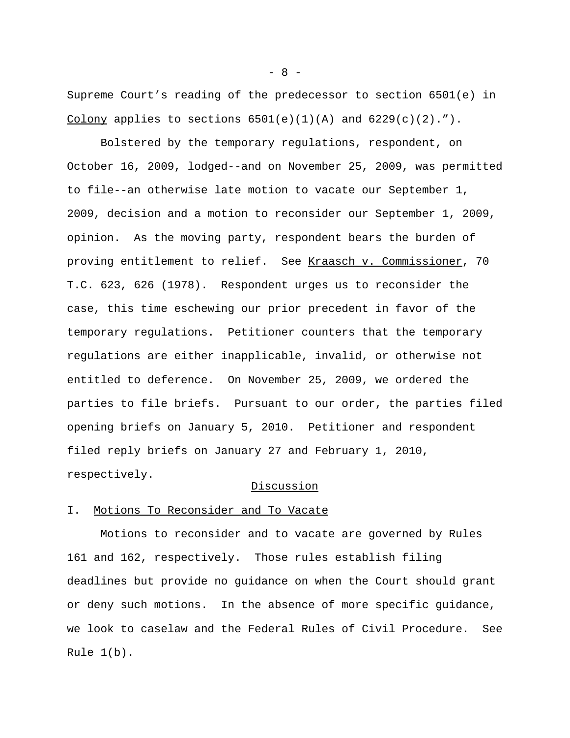Supreme Court's reading of the predecessor to section 6501(e) in Colony applies to sections  $6501(e)(1)(A)$  and  $6229(c)(2)$ .").

Bolstered by the temporary regulations, respondent, on October 16, 2009, lodged--and on November 25, 2009, was permitted to file--an otherwise late motion to vacate our September 1, 2009, decision and a motion to reconsider our September 1, 2009, opinion. As the moving party, respondent bears the burden of proving entitlement to relief. See Kraasch v. Commissioner, 70 T.C. 623, 626 (1978). Respondent urges us to reconsider the case, this time eschewing our prior precedent in favor of the temporary regulations. Petitioner counters that the temporary regulations are either inapplicable, invalid, or otherwise not entitled to deference. On November 25, 2009, we ordered the parties to file briefs. Pursuant to our order, the parties filed opening briefs on January 5, 2010. Petitioner and respondent filed reply briefs on January 27 and February 1, 2010, respectively.

### Discussion

## I. Motions To Reconsider and To Vacate

Motions to reconsider and to vacate are governed by Rules 161 and 162, respectively. Those rules establish filing deadlines but provide no guidance on when the Court should grant or deny such motions. In the absence of more specific guidance, we look to caselaw and the Federal Rules of Civil Procedure. See Rule 1(b).

 $- 8 -$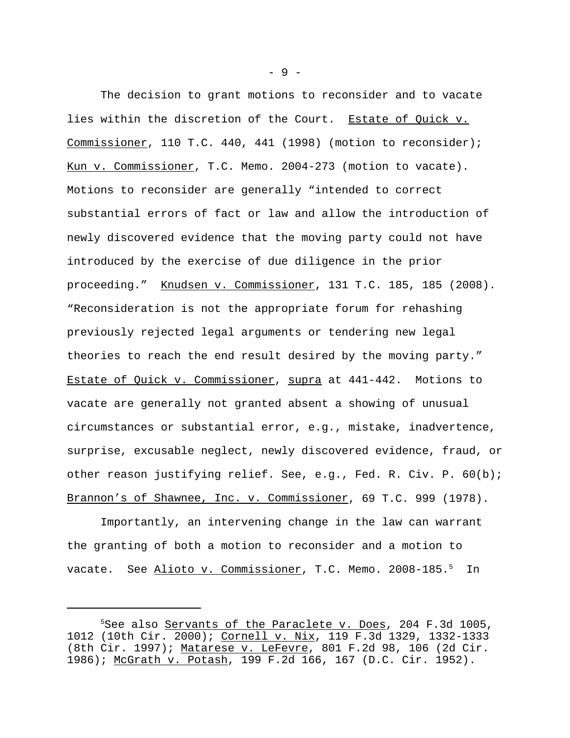The decision to grant motions to reconsider and to vacate lies within the discretion of the Court. Estate of Quick v. Commissioner, 110 T.C. 440, 441 (1998) (motion to reconsider); Kun v. Commissioner, T.C. Memo. 2004-273 (motion to vacate). Motions to reconsider are generally "intended to correct substantial errors of fact or law and allow the introduction of newly discovered evidence that the moving party could not have introduced by the exercise of due diligence in the prior proceeding." Knudsen v. Commissioner, 131 T.C. 185, 185 (2008). "Reconsideration is not the appropriate forum for rehashing previously rejected legal arguments or tendering new legal theories to reach the end result desired by the moving party." Estate of Quick v. Commissioner, supra at 441-442. Motions to vacate are generally not granted absent a showing of unusual circumstances or substantial error, e.g., mistake, inadvertence, surprise, excusable neglect, newly discovered evidence, fraud, or other reason justifying relief. See, e.g., Fed. R. Civ. P. 60(b); Brannon's of Shawnee, Inc. v. Commissioner, 69 T.C. 999 (1978).

Importantly, an intervening change in the law can warrant the granting of both a motion to reconsider and a motion to vacate. See Alioto v. Commissioner, T.C. Memo. 2008-185.<sup>5</sup> In

- 9 -

<sup>&</sup>lt;sup>5</sup>See also <u>Servants of the Paraclete v. Does</u>, 204 F.3d 1005, 1012 (10th Cir. 2000); Cornell v. Nix, 119 F.3d 1329, 1332-1333 (8th Cir. 1997); Matarese v. LeFevre, 801 F.2d 98, 106 (2d Cir. 1986); McGrath v. Potash, 199 F.2d 166, 167 (D.C. Cir. 1952).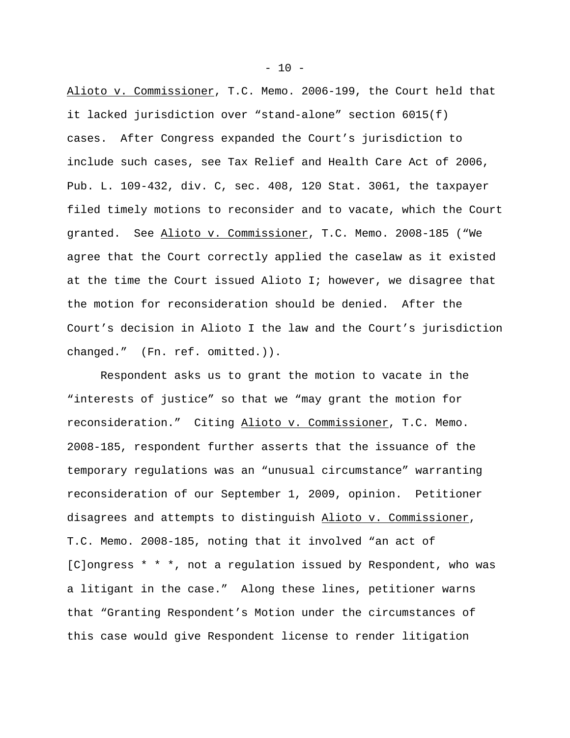Alioto v. Commissioner, T.C. Memo. 2006-199, the Court held that it lacked jurisdiction over "stand-alone" section 6015(f) cases. After Congress expanded the Court's jurisdiction to include such cases, see Tax Relief and Health Care Act of 2006, Pub. L. 109-432, div. C, sec. 408, 120 Stat. 3061, the taxpayer filed timely motions to reconsider and to vacate, which the Court granted. See Alioto v. Commissioner, T.C. Memo. 2008-185 ("We agree that the Court correctly applied the caselaw as it existed at the time the Court issued Alioto I; however, we disagree that the motion for reconsideration should be denied. After the Court's decision in Alioto I the law and the Court's jurisdiction changed." (Fn. ref. omitted.)).

Respondent asks us to grant the motion to vacate in the "interests of justice" so that we "may grant the motion for reconsideration." Citing Alioto v. Commissioner, T.C. Memo. 2008-185, respondent further asserts that the issuance of the temporary regulations was an "unusual circumstance" warranting reconsideration of our September 1, 2009, opinion. Petitioner disagrees and attempts to distinguish Alioto v. Commissioner, T.C. Memo. 2008-185, noting that it involved "an act of [C]ongress \* \* \*, not a regulation issued by Respondent, who was a litigant in the case." Along these lines, petitioner warns that "Granting Respondent's Motion under the circumstances of this case would give Respondent license to render litigation

 $- 10 -$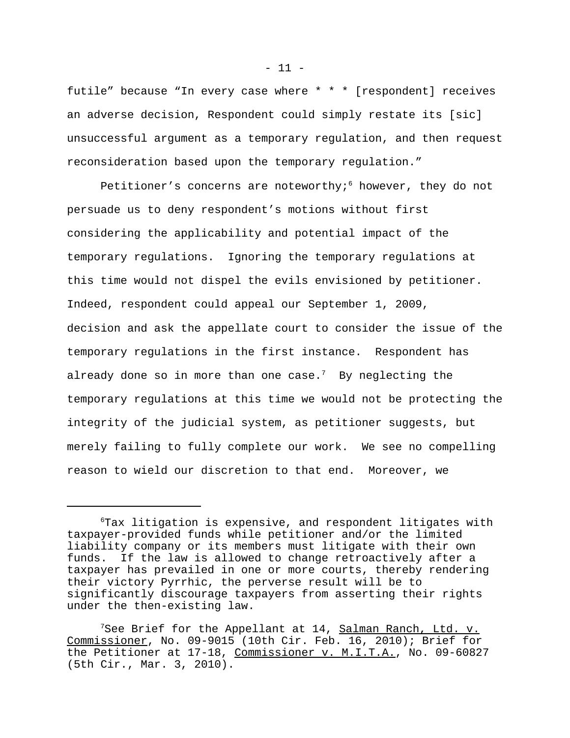futile" because "In every case where \* \* \* [respondent] receives an adverse decision, Respondent could simply restate its [sic] unsuccessful argument as a temporary regulation, and then request reconsideration based upon the temporary regulation."

Petitioner's concerns are noteworthy;<sup>6</sup> however, they do not persuade us to deny respondent's motions without first considering the applicability and potential impact of the temporary regulations. Ignoring the temporary regulations at this time would not dispel the evils envisioned by petitioner. Indeed, respondent could appeal our September 1, 2009, decision and ask the appellate court to consider the issue of the temporary regulations in the first instance. Respondent has already done so in more than one case.<sup>7</sup> By neglecting the temporary regulations at this time we would not be protecting the integrity of the judicial system, as petitioner suggests, but merely failing to fully complete our work. We see no compelling reason to wield our discretion to that end. Moreover, we

<sup>6</sup>Tax litigation is expensive, and respondent litigates with taxpayer-provided funds while petitioner and/or the limited liability company or its members must litigate with their own funds. If the law is allowed to change retroactively after a taxpayer has prevailed in one or more courts, thereby rendering their victory Pyrrhic, the perverse result will be to significantly discourage taxpayers from asserting their rights under the then-existing law.

 $7$ See Brief for the Appellant at 14,  $S$ alman Ranch, Ltd. v. Commissioner, No. 09-9015 (10th Cir. Feb. 16, 2010); Brief for the Petitioner at 17-18, Commissioner v. M.I.T.A., No. 09-60827 (5th Cir., Mar. 3, 2010).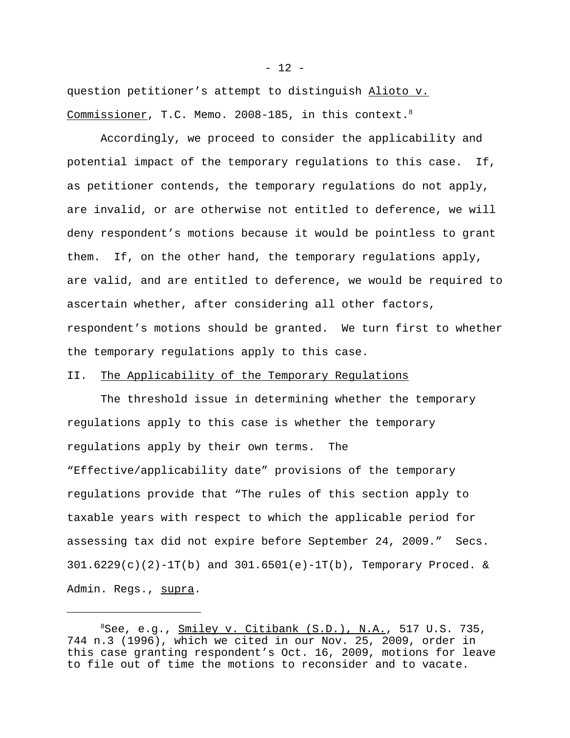question petitioner's attempt to distinguish Alioto v. Commissioner, T.C. Memo. 2008-185, in this context.<sup>8</sup>

Accordingly, we proceed to consider the applicability and potential impact of the temporary regulations to this case. If, as petitioner contends, the temporary regulations do not apply, are invalid, or are otherwise not entitled to deference, we will deny respondent's motions because it would be pointless to grant them. If, on the other hand, the temporary regulations apply, are valid, and are entitled to deference, we would be required to ascertain whether, after considering all other factors, respondent's motions should be granted. We turn first to whether the temporary regulations apply to this case.

# II. The Applicability of the Temporary Regulations

The threshold issue in determining whether the temporary regulations apply to this case is whether the temporary regulations apply by their own terms. The "Effective/applicability date" provisions of the temporary regulations provide that "The rules of this section apply to taxable years with respect to which the applicable period for assessing tax did not expire before September 24, 2009." Secs.  $301.6229(c)(2)-1T(b)$  and  $301.6501(e)-1T(b)$ , Temporary Proced. & Admin. Regs., supra.

 $8$ See, e.g.,  $Smiley$  v. Citibank  $(S.D.)$ , N.A., 517 U.S. 735, 744 n.3 (1996), which we cited in our Nov. 25, 2009, order in this case granting respondent's Oct. 16, 2009, motions for leave to file out of time the motions to reconsider and to vacate.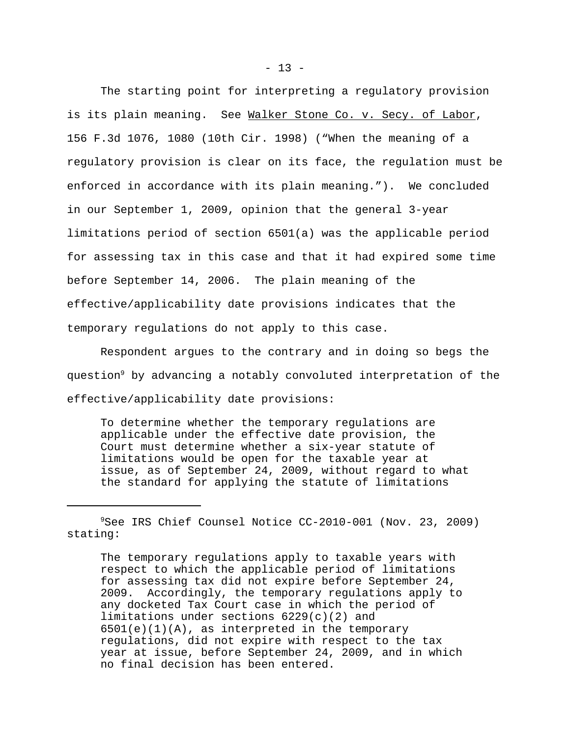The starting point for interpreting a regulatory provision is its plain meaning. See Walker Stone Co. v. Secy. of Labor, 156 F.3d 1076, 1080 (10th Cir. 1998) ("When the meaning of a regulatory provision is clear on its face, the regulation must be enforced in accordance with its plain meaning."). We concluded in our September 1, 2009, opinion that the general 3-year limitations period of section 6501(a) was the applicable period for assessing tax in this case and that it had expired some time before September 14, 2006. The plain meaning of the effective/applicability date provisions indicates that the temporary regulations do not apply to this case.

Respondent argues to the contrary and in doing so begs the question<sup>9</sup> by advancing a notably convoluted interpretation of the effective/applicability date provisions:

To determine whether the temporary regulations are applicable under the effective date provision, the Court must determine whether a six-year statute of limitations would be open for the taxable year at issue, as of September 24, 2009, without regard to what the standard for applying the statute of limitations

The temporary regulations apply to taxable years with respect to which the applicable period of limitations for assessing tax did not expire before September 24, 2009. Accordingly, the temporary regulations apply to any docketed Tax Court case in which the period of limitations under sections 6229(c)(2) and 6501(e)(1)(A), as interpreted in the temporary regulations, did not expire with respect to the tax year at issue, before September 24, 2009, and in which no final decision has been entered.

<sup>9</sup>See IRS Chief Counsel Notice CC-2010-001 (Nov. 23, 2009) stating: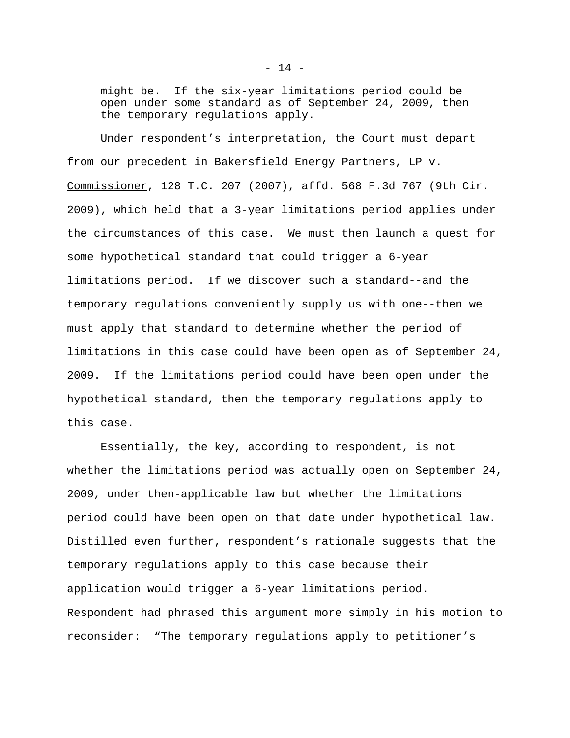might be. If the six-year limitations period could be open under some standard as of September 24, 2009, then the temporary regulations apply.

Under respondent's interpretation, the Court must depart from our precedent in Bakersfield Energy Partners, LP v. Commissioner, 128 T.C. 207 (2007), affd. 568 F.3d 767 (9th Cir. 2009), which held that a 3-year limitations period applies under the circumstances of this case. We must then launch a quest for some hypothetical standard that could trigger a 6-year limitations period. If we discover such a standard--and the temporary regulations conveniently supply us with one--then we must apply that standard to determine whether the period of limitations in this case could have been open as of September 24, 2009. If the limitations period could have been open under the hypothetical standard, then the temporary regulations apply to this case.

Essentially, the key, according to respondent, is not whether the limitations period was actually open on September 24, 2009, under then-applicable law but whether the limitations period could have been open on that date under hypothetical law. Distilled even further, respondent's rationale suggests that the temporary regulations apply to this case because their application would trigger a 6-year limitations period. Respondent had phrased this argument more simply in his motion to reconsider: "The temporary regulations apply to petitioner's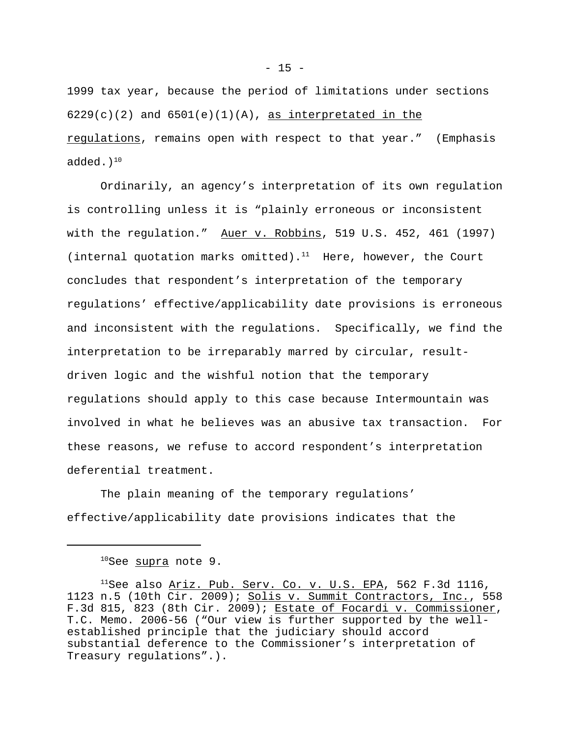1999 tax year, because the period of limitations under sections  $6229(c)(2)$  and  $6501(e)(1)(A)$ , as interpretated in the regulations, remains open with respect to that year." (Emphasis added. $)^{10}$ 

Ordinarily, an agency's interpretation of its own regulation is controlling unless it is "plainly erroneous or inconsistent with the regulation." Auer v. Robbins, 519 U.S. 452, 461 (1997) (internal quotation marks omitted).<sup>11</sup> Here, however, the Court concludes that respondent's interpretation of the temporary regulations' effective/applicability date provisions is erroneous and inconsistent with the regulations. Specifically, we find the interpretation to be irreparably marred by circular, resultdriven logic and the wishful notion that the temporary regulations should apply to this case because Intermountain was involved in what he believes was an abusive tax transaction. For these reasons, we refuse to accord respondent's interpretation deferential treatment.

The plain meaning of the temporary regulations' effective/applicability date provisions indicates that the

<sup>&</sup>lt;sup>10</sup>See supra note 9.

<sup>&</sup>lt;sup>11</sup>See also  $\underline{\text{Ariz.}}$  Pub. Serv. Co. v. U.S. EPA, 562 F.3d 1116, 1123 n.5 (10th Cir. 2009); Solis v. Summit Contractors, Inc., 558 F.3d 815, 823 (8th Cir. 2009); Estate of Focardi v. Commissioner, T.C. Memo. 2006-56 ("Our view is further supported by the wellestablished principle that the judiciary should accord substantial deference to the Commissioner's interpretation of Treasury regulations".).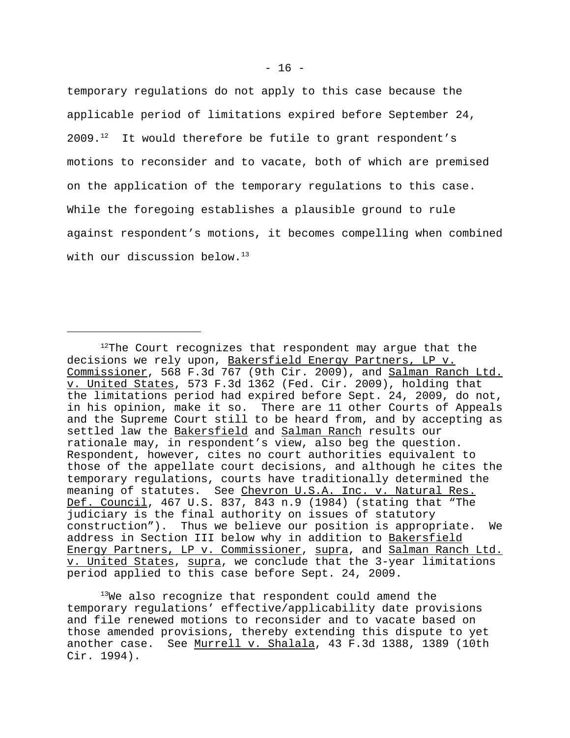temporary regulations do not apply to this case because the applicable period of limitations expired before September 24,  $2009.12$  It would therefore be futile to grant respondent's motions to reconsider and to vacate, both of which are premised on the application of the temporary regulations to this case. While the foregoing establishes a plausible ground to rule against respondent's motions, it becomes compelling when combined with our discussion below.<sup>13</sup>

 $12$ The Court recognizes that respondent may argue that the decisions we rely upon, Bakersfield Energy Partners, LP v. Commissioner, 568 F.3d 767 (9th Cir. 2009), and Salman Ranch Ltd. v. United States, 573 F.3d 1362 (Fed. Cir. 2009), holding that the limitations period had expired before Sept. 24, 2009, do not, in his opinion, make it so. There are 11 other Courts of Appeals and the Supreme Court still to be heard from, and by accepting as settled law the Bakersfield and Salman Ranch results our rationale may, in respondent's view, also beg the question. Respondent, however, cites no court authorities equivalent to those of the appellate court decisions, and although he cites the temporary regulations, courts have traditionally determined the meaning of statutes. See <u>Chevron U.S.A. Inc. v. Natural Res.</u> Def. Council, 467 U.S. 837, 843 n.9 (1984) (stating that "The judiciary is the final authority on issues of statutory construction"). Thus we believe our position is appropriate. We address in Section III below why in addition to Bakersfield Energy Partners, LP v. Commissioner, supra, and Salman Ranch Ltd. v. United States, supra, we conclude that the 3-year limitations period applied to this case before Sept. 24, 2009.

<sup>&</sup>lt;sup>13</sup>We also recognize that respondent could amend the temporary regulations' effective/applicability date provisions and file renewed motions to reconsider and to vacate based on those amended provisions, thereby extending this dispute to yet another case. See Murrell v. Shalala, 43 F.3d 1388, 1389 (10th Cir. 1994).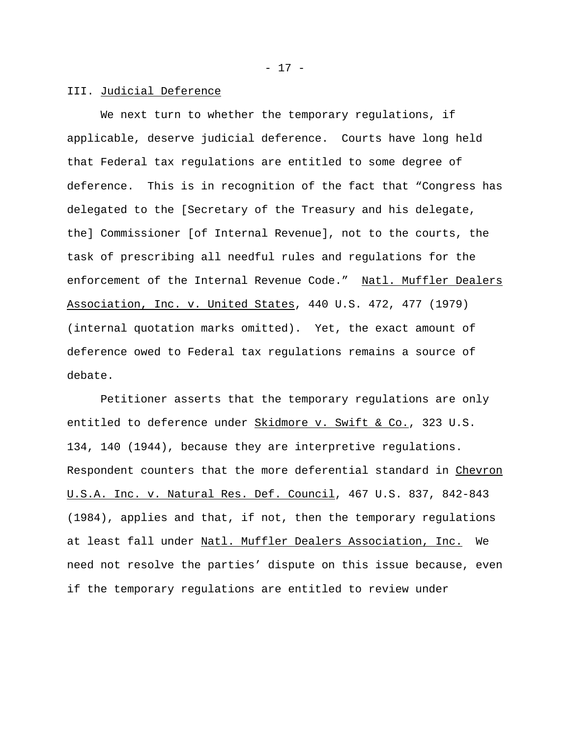#### III. Judicial Deference

We next turn to whether the temporary regulations, if applicable, deserve judicial deference. Courts have long held that Federal tax regulations are entitled to some degree of deference. This is in recognition of the fact that "Congress has delegated to the [Secretary of the Treasury and his delegate, the] Commissioner [of Internal Revenue], not to the courts, the task of prescribing all needful rules and regulations for the enforcement of the Internal Revenue Code." Natl. Muffler Dealers Association, Inc. v. United States, 440 U.S. 472, 477 (1979) (internal quotation marks omitted). Yet, the exact amount of deference owed to Federal tax regulations remains a source of debate.

Petitioner asserts that the temporary regulations are only entitled to deference under Skidmore v. Swift & Co., 323 U.S. 134, 140 (1944), because they are interpretive regulations. Respondent counters that the more deferential standard in Chevron U.S.A. Inc. v. Natural Res. Def. Council, 467 U.S. 837, 842-843 (1984), applies and that, if not, then the temporary regulations at least fall under Natl. Muffler Dealers Association, Inc. We need not resolve the parties' dispute on this issue because, even if the temporary regulations are entitled to review under

- 17 -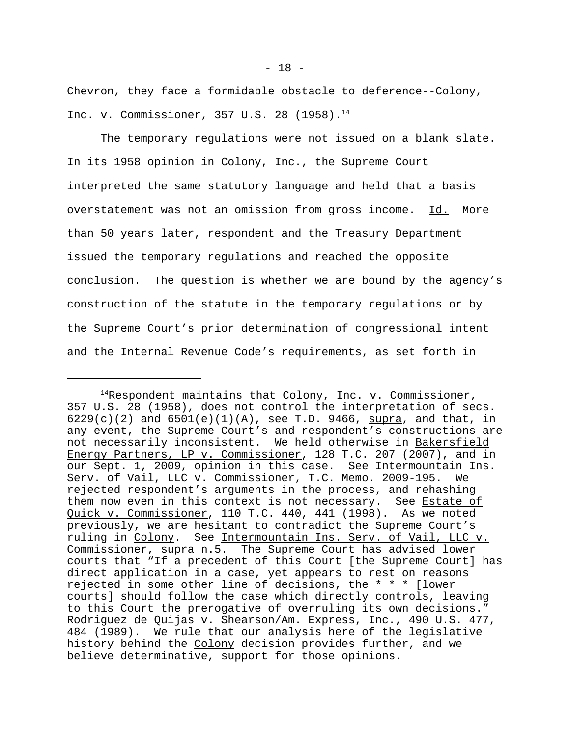Chevron, they face a formidable obstacle to deference--Colony, Inc. v. Commissioner, 357 U.S. 28 (1958).<sup>14</sup>

The temporary regulations were not issued on a blank slate. In its 1958 opinion in Colony, Inc., the Supreme Court interpreted the same statutory language and held that a basis overstatement was not an omission from gross income. Id. More than 50 years later, respondent and the Treasury Department issued the temporary regulations and reached the opposite conclusion. The question is whether we are bound by the agency's construction of the statute in the temporary regulations or by the Supreme Court's prior determination of congressional intent and the Internal Revenue Code's requirements, as set forth in

 $14$ Respondent maintains that Colony, Inc. v. Commissioner, 357 U.S. 28 (1958), does not control the interpretation of secs.  $6229(c)(2)$  and  $6501(e)(1)(A)$ , see T.D. 9466, supra, and that, in any event, the Supreme Court's and respondent's constructions are not necessarily inconsistent. We held otherwise in Bakersfield Energy Partners, LP v. Commissioner, 128 T.C. 207 (2007), and in our Sept. 1, 2009, opinion in this case. See Intermountain Ins. Serv. of Vail, LLC v. Commissioner, T.C. Memo. 2009-195. We rejected respondent's arguments in the process, and rehashing them now even in this context is not necessary. See Estate of Quick v. Commissioner, 110 T.C. 440, 441 (1998). As we noted previously, we are hesitant to contradict the Supreme Court's ruling in Colony. See Intermountain Ins. Serv. of Vail, LLC v. Commissioner, supra n.5. The Supreme Court has advised lower courts that "If a precedent of this Court [the Supreme Court] has direct application in a case, yet appears to rest on reasons rejected in some other line of decisions, the \* \* \* [lower courts] should follow the case which directly controls, leaving to this Court the prerogative of overruling its own decisions." Rodriguez de Quijas v. Shearson/Am. Express, Inc., 490 U.S. 477, 484 (1989). We rule that our analysis here of the legislative history behind the Colony decision provides further, and we believe determinative, support for those opinions.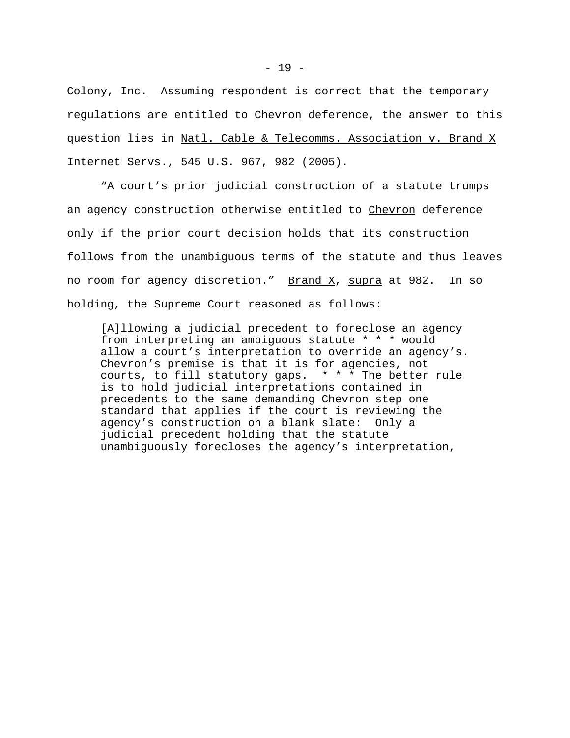Colony, Inc. Assuming respondent is correct that the temporary regulations are entitled to Chevron deference, the answer to this question lies in Natl. Cable & Telecomms. Association v. Brand X Internet Servs., 545 U.S. 967, 982 (2005).

"A court's prior judicial construction of a statute trumps an agency construction otherwise entitled to Chevron deference only if the prior court decision holds that its construction follows from the unambiguous terms of the statute and thus leaves no room for agency discretion." Brand X, supra at 982. In so holding, the Supreme Court reasoned as follows:

[A]llowing a judicial precedent to foreclose an agency from interpreting an ambiguous statute \* \* \* would allow a court's interpretation to override an agency's. Chevron's premise is that it is for agencies, not courts, to fill statutory gaps.  $* * *$  The better rule is to hold judicial interpretations contained in precedents to the same demanding Chevron step one standard that applies if the court is reviewing the agency's construction on a blank slate: Only a judicial precedent holding that the statute unambiguously forecloses the agency's interpretation,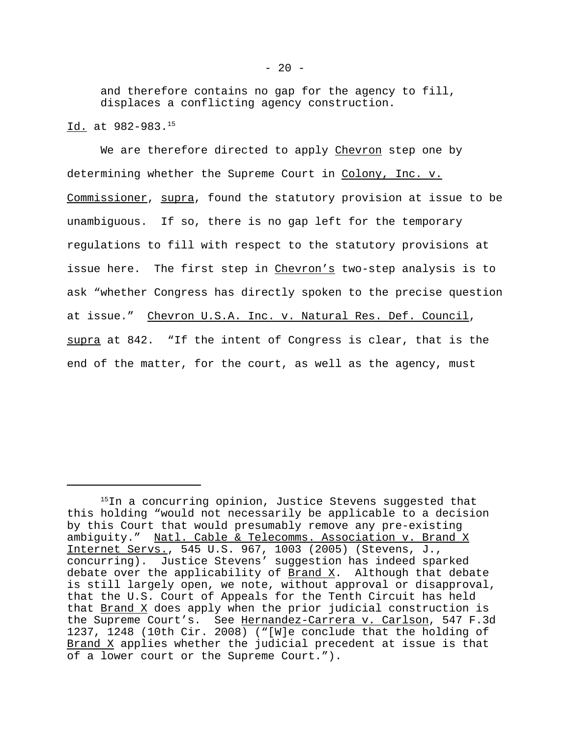and therefore contains no gap for the agency to fill, displaces a conflicting agency construction.

Id. at 982-983.<sup>15</sup>

We are therefore directed to apply Chevron step one by determining whether the Supreme Court in Colony, Inc. v. Commissioner, supra, found the statutory provision at issue to be unambiguous. If so, there is no gap left for the temporary regulations to fill with respect to the statutory provisions at issue here. The first step in Chevron's two-step analysis is to ask "whether Congress has directly spoken to the precise question at issue." Chevron U.S.A. Inc. v. Natural Res. Def. Council, supra at 842. "If the intent of Congress is clear, that is the end of the matter, for the court, as well as the agency, must

<sup>&</sup>lt;sup>15</sup>In a concurring opinion, Justice Stevens suggested that this holding "would not necessarily be applicable to a decision by this Court that would presumably remove any pre-existing ambiguity." Natl. Cable & Telecomms. Association v. Brand X Internet Servs., 545 U.S. 967, 1003 (2005) (Stevens, J., concurring). Justice Stevens' suggestion has indeed sparked debate over the applicability of  $\frac{Brand X}{X}$ . Although that debate is still largely open, we note, without approval or disapproval, that the U.S. Court of Appeals for the Tenth Circuit has held that  $\underline{Brand X}$  does apply when the prior judicial construction is the Supreme Court's. See Hernandez-Carrera v. Carlson, 547 F.3d 1237, 1248 (10th Cir. 2008) ("[W]e conclude that the holding of Brand X applies whether the judicial precedent at issue is that of a lower court or the Supreme Court.").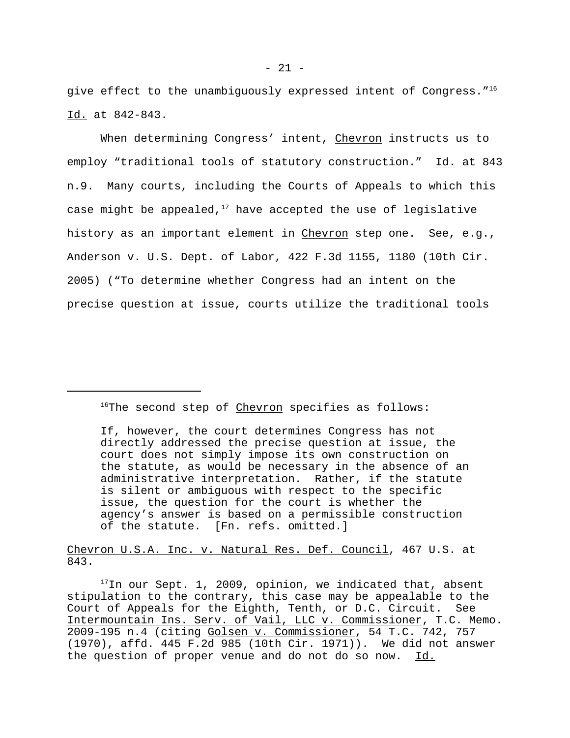give effect to the unambiguously expressed intent of Congress."<sup>16</sup> Id. at 842-843.

When determining Congress' intent, Chevron instructs us to employ "traditional tools of statutory construction." Id. at 843 n.9. Many courts, including the Courts of Appeals to which this case might be appealed, $17$  have accepted the use of legislative history as an important element in Chevron step one. See, e.g., Anderson v. U.S. Dept. of Labor, 422 F.3d 1155, 1180 (10th Cir. 2005) ("To determine whether Congress had an intent on the precise question at issue, courts utilize the traditional tools

<sup>16</sup>The second step of *Chevron* specifies as follows:

Chevron U.S.A. Inc. v. Natural Res. Def. Council, 467 U.S. at 843.

 $17$ In our Sept. 1, 2009, opinion, we indicated that, absent stipulation to the contrary, this case may be appealable to the Court of Appeals for the Eighth, Tenth, or D.C. Circuit. See Intermountain Ins. Serv. of Vail, LLC v. Commissioner, T.C. Memo. 2009-195 n.4 (citing Golsen v. Commissioner, 54 T.C. 742, 757 (1970), affd. 445 F.2d 985 (10th Cir. 1971)). We did not answer the question of proper venue and do not do so now. Id.

If, however, the court determines Congress has not directly addressed the precise question at issue, the court does not simply impose its own construction on the statute, as would be necessary in the absence of an administrative interpretation. Rather, if the statute is silent or ambiguous with respect to the specific issue, the question for the court is whether the agency's answer is based on a permissible construction of the statute. [Fn. refs. omitted.]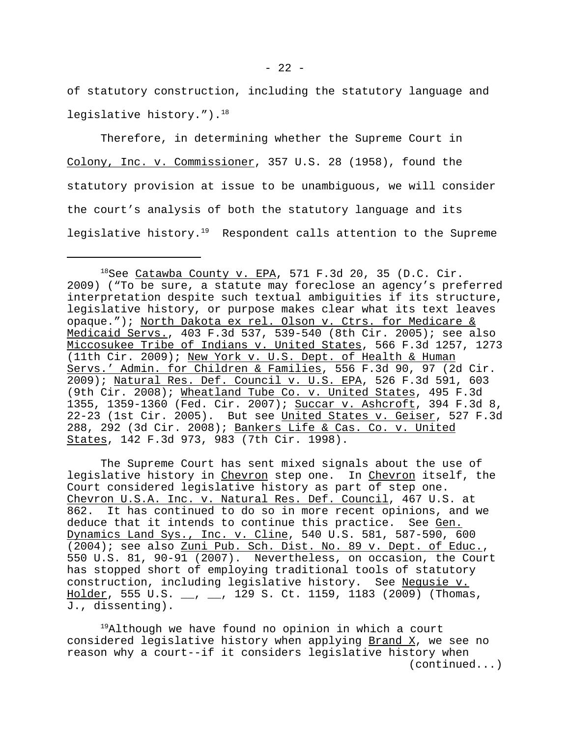of statutory construction, including the statutory language and legislative history."). $18$ 

Therefore, in determining whether the Supreme Court in Colony, Inc. v. Commissioner, 357 U.S. 28 (1958), found the statutory provision at issue to be unambiguous, we will consider the court's analysis of both the statutory language and its legislative history.<sup>19</sup> Respondent calls attention to the Supreme

The Supreme Court has sent mixed signals about the use of legislative history in Chevron step one. In Chevron itself, the Court considered legislative history as part of step one. Chevron U.S.A. Inc. v. Natural Res. Def. Council, 467 U.S. at 862. It has continued to do so in more recent opinions, and we deduce that it intends to continue this practice. See Gen. Dynamics Land Sys., Inc. v. Cline, 540 U.S. 581, 587-590, 600 (2004); see also Zuni Pub. Sch. Dist. No. 89 v. Dept. of Educ., 550 U.S. 81, 90-91 (2007). Nevertheless, on occasion, the Court has stopped short of employing traditional tools of statutory construction, including legislative history. See Negusie v. Holder, 555 U.S. \_\_, \_\_, 129 S. Ct. 1159, 1183 (2009) (Thomas, J., dissenting).

<sup>19</sup>Although we have found no opinion in which a court considered legislative history when applying Brand X, we see no reason why a court--if it considers legislative history when (continued...)

 $- 22 -$ 

 $^{18}$ See Catawba County v. EPA, 571 F.3d 20, 35 (D.C. Cir. 2009) ("To be sure, a statute may foreclose an agency's preferred interpretation despite such textual ambiguities if its structure, legislative history, or purpose makes clear what its text leaves opaque."); North Dakota ex rel. Olson v. Ctrs. for Medicare & Medicaid Servs., 403 F.3d 537, 539-540 (8th Cir. 2005); see also Miccosukee Tribe of Indians v. United States, 566 F.3d 1257, 1273 (11th Cir. 2009); New York v. U.S. Dept. of Health & Human Servs.' Admin. for Children & Families, 556 F.3d 90, 97 (2d Cir. 2009); Natural Res. Def. Council v. U.S. EPA, 526 F.3d 591, 603 (9th Cir. 2008); Wheatland Tube Co. v. United States, 495 F.3d 1355, 1359-1360 (Fed. Cir. 2007); Succar v. Ashcroft, 394 F.3d 8, 22-23 (1st Cir. 2005). But see United States v. Geiser, 527 F.3d 288, 292 (3d Cir. 2008); Bankers Life & Cas. Co. v. United States, 142 F.3d 973, 983 (7th Cir. 1998).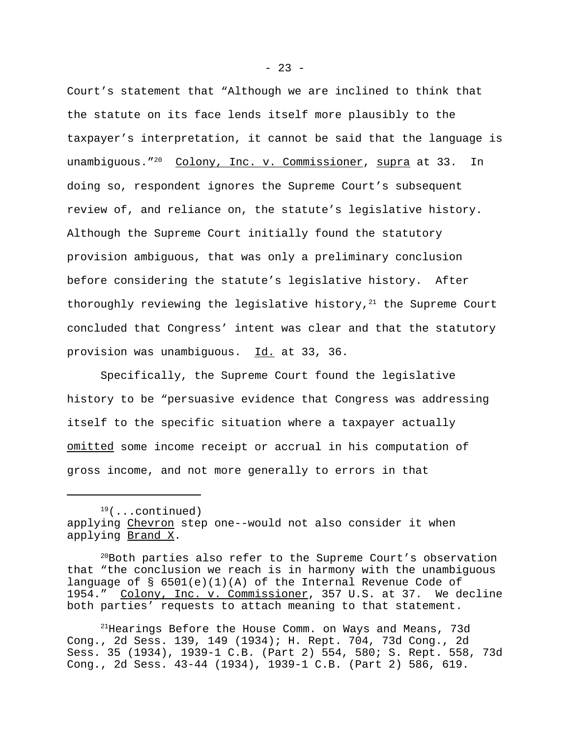Court's statement that "Although we are inclined to think that the statute on its face lends itself more plausibly to the taxpayer's interpretation, it cannot be said that the language is unambiguous."<sup>20</sup> Colony, Inc. v. Commissioner, supra at 33. In doing so, respondent ignores the Supreme Court's subsequent review of, and reliance on, the statute's legislative history. Although the Supreme Court initially found the statutory provision ambiguous, that was only a preliminary conclusion before considering the statute's legislative history. After thoroughly reviewing the legislative history, $21$  the Supreme Court concluded that Congress' intent was clear and that the statutory provision was unambiguous. Id. at 33, 36.

Specifically, the Supreme Court found the legislative history to be "persuasive evidence that Congress was addressing itself to the specific situation where a taxpayer actually omitted some income receipt or accrual in his computation of gross income, and not more generally to errors in that

 $19($ ...continued) applying Chevron step one--would not also consider it when applying Brand X.

<sup>&</sup>lt;sup>20</sup>Both parties also refer to the Supreme Court's observation that "the conclusion we reach is in harmony with the unambiguous language of § 6501(e)(1)(A) of the Internal Revenue Code of 1954." Colony, Inc. v. Commissioner, 357 U.S. at 37. We decline both parties' requests to attach meaning to that statement.

<sup>&</sup>lt;sup>21</sup> Hearings Before the House Comm. on Ways and Means, 73d Cong., 2d Sess. 139, 149 (1934); H. Rept. 704, 73d Cong., 2d Sess. 35 (1934), 1939-1 C.B. (Part 2) 554, 580; S. Rept. 558, 73d Cong., 2d Sess. 43-44 (1934), 1939-1 C.B. (Part 2) 586, 619.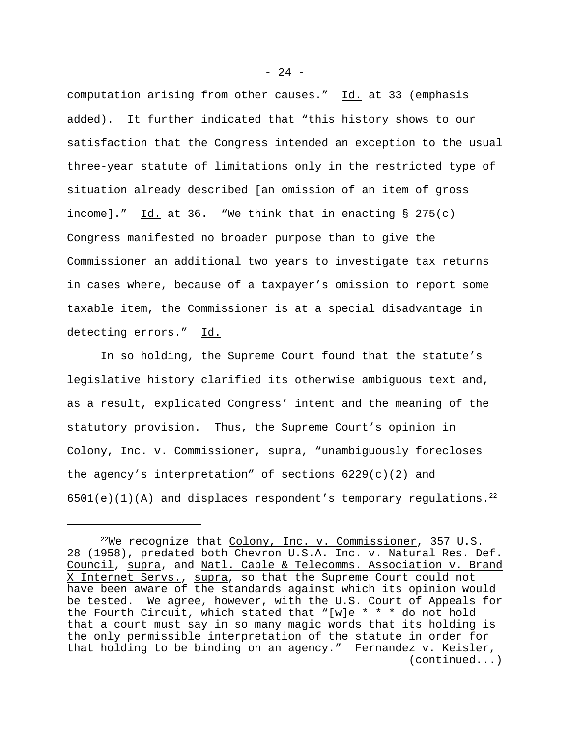computation arising from other causes." Id. at 33 (emphasis added). It further indicated that "this history shows to our satisfaction that the Congress intended an exception to the usual three-year statute of limitations only in the restricted type of situation already described [an omission of an item of gross income]."  $\underline{Id.}$  at 36. "We think that in enacting § 275(c) Congress manifested no broader purpose than to give the Commissioner an additional two years to investigate tax returns in cases where, because of a taxpayer's omission to report some taxable item, the Commissioner is at a special disadvantage in detecting errors." Id.

In so holding, the Supreme Court found that the statute's legislative history clarified its otherwise ambiguous text and, as a result, explicated Congress' intent and the meaning of the statutory provision. Thus, the Supreme Court's opinion in Colony, Inc. v. Commissioner, supra, "unambiguously forecloses the agency's interpretation" of sections  $6229(c)(2)$  and  $6501(e)(1)(A)$  and displaces respondent's temporary regulations.<sup>22</sup>

 $- 24 -$ 

 $^{22}$ We recognize that Colony, Inc. v. Commissioner, 357 U.S. 28 (1958), predated both Chevron U.S.A. Inc. v. Natural Res. Def. Council, supra, and Natl. Cable & Telecomms. Association v. Brand X Internet Servs., supra, so that the Supreme Court could not have been aware of the standards against which its opinion would be tested. We agree, however, with the U.S. Court of Appeals for the Fourth Circuit, which stated that "[w]e \* \* \* do not hold that a court must say in so many magic words that its holding is the only permissible interpretation of the statute in order for that holding to be binding on an agency." Fernandez v. Keisler, (continued...)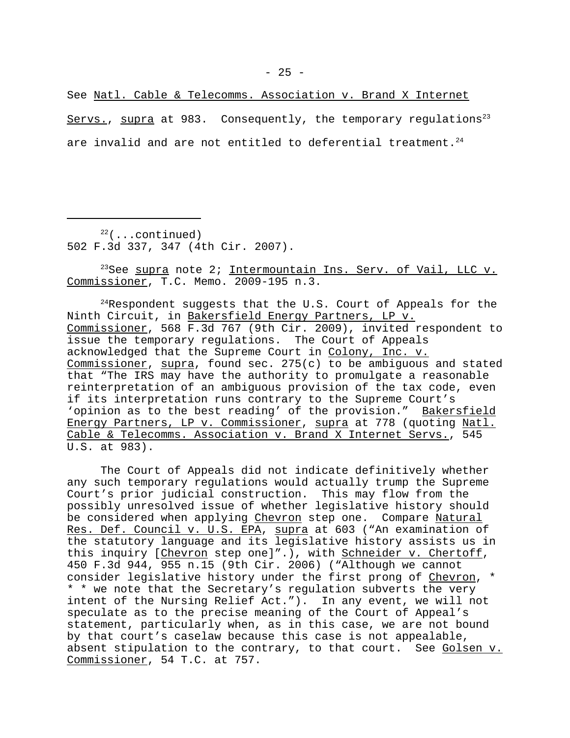See Natl. Cable & Telecomms. Association v. Brand X Internet Servs., supra at 983. Consequently, the temporary regulations<sup>23</sup> are invalid and are not entitled to deferential treatment.<sup>24</sup>

 $22$ (...continued) 502 F.3d 337, 347 (4th Cir. 2007).

<sup>23</sup>See supra note 2; Intermountain Ins. Serv. of Vail, LLC v. Commissioner, T.C. Memo. 2009-195 n.3.

 $24$ Respondent suggests that the U.S. Court of Appeals for the Ninth Circuit, in Bakersfield Energy Partners, LP v. Commissioner, 568 F.3d 767 (9th Cir. 2009), invited respondent to issue the temporary regulations. The Court of Appeals acknowledged that the Supreme Court in Colony, Inc. v. Commissioner, supra, found sec. 275(c) to be ambiguous and stated that "The IRS may have the authority to promulgate a reasonable reinterpretation of an ambiguous provision of the tax code, even if its interpretation runs contrary to the Supreme Court's 'opinion as to the best reading' of the provision." Bakersfield Energy Partners, LP v. Commissioner, supra at 778 (quoting Natl. Cable & Telecomms. Association v. Brand X Internet Servs., 545 U.S. at 983).

The Court of Appeals did not indicate definitively whether any such temporary regulations would actually trump the Supreme Court's prior judicial construction. This may flow from the possibly unresolved issue of whether legislative history should be considered when applying Chevron step one. Compare Natural Res. Def. Council v. U.S. EPA, supra at 603 ("An examination of the statutory language and its legislative history assists us in this inquiry [Chevron step one]".), with Schneider v. Chertoff, 450 F.3d 944, 955 n.15 (9th Cir. 2006) ("Although we cannot consider legislative history under the first prong of Chevron, \* \* \* we note that the Secretary's regulation subverts the very intent of the Nursing Relief Act."). In any event, we will not speculate as to the precise meaning of the Court of Appeal's statement, particularly when, as in this case, we are not bound by that court's caselaw because this case is not appealable, absent stipulation to the contrary, to that court. See Golsen v. Commissioner, 54 T.C. at 757.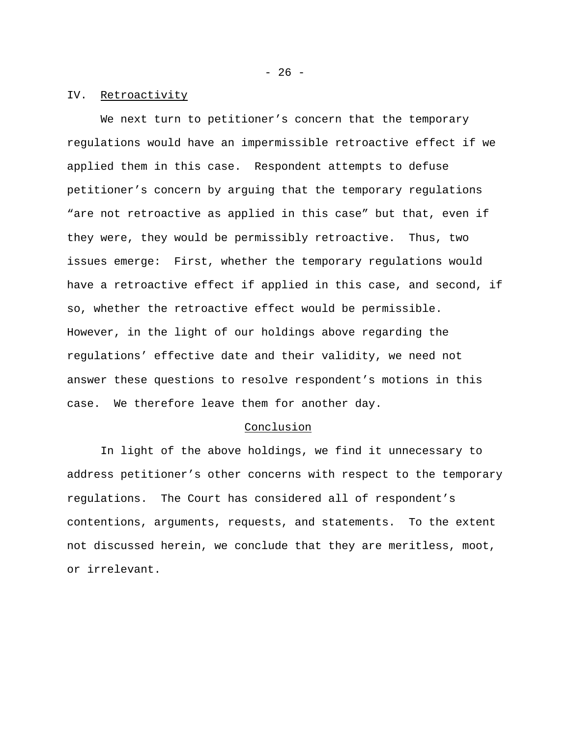- 26 -

# IV. Retroactivity

We next turn to petitioner's concern that the temporary regulations would have an impermissible retroactive effect if we applied them in this case. Respondent attempts to defuse petitioner's concern by arguing that the temporary regulations "are not retroactive as applied in this case" but that, even if they were, they would be permissibly retroactive. Thus, two issues emerge: First, whether the temporary regulations would have a retroactive effect if applied in this case, and second, if so, whether the retroactive effect would be permissible. However, in the light of our holdings above regarding the regulations' effective date and their validity, we need not answer these questions to resolve respondent's motions in this case. We therefore leave them for another day.

#### Conclusion

In light of the above holdings, we find it unnecessary to address petitioner's other concerns with respect to the temporary regulations. The Court has considered all of respondent's contentions, arguments, requests, and statements. To the extent not discussed herein, we conclude that they are meritless, moot, or irrelevant.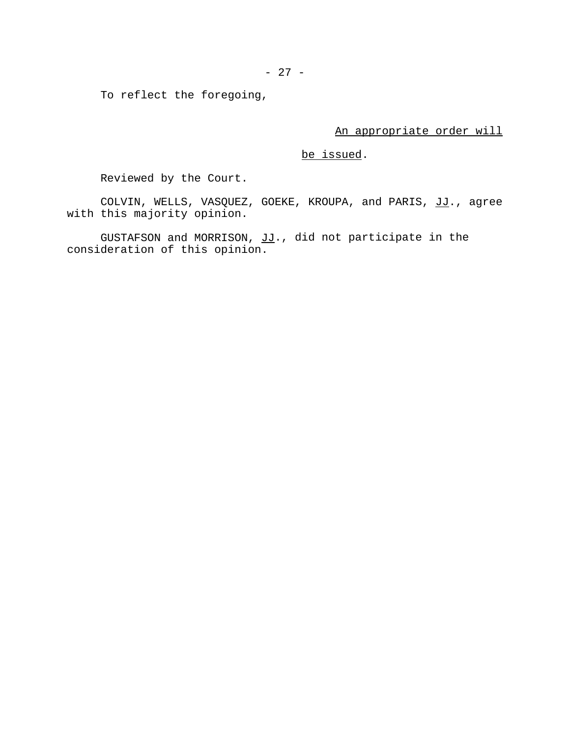To reflect the foregoing,

An appropriate order will

# be issued.

Reviewed by the Court.

COLVIN, WELLS, VASQUEZ, GOEKE, KROUPA, and PARIS, JJ., agree with this majority opinion.

GUSTAFSON and MORRISON, JJ., did not participate in the consideration of this opinion.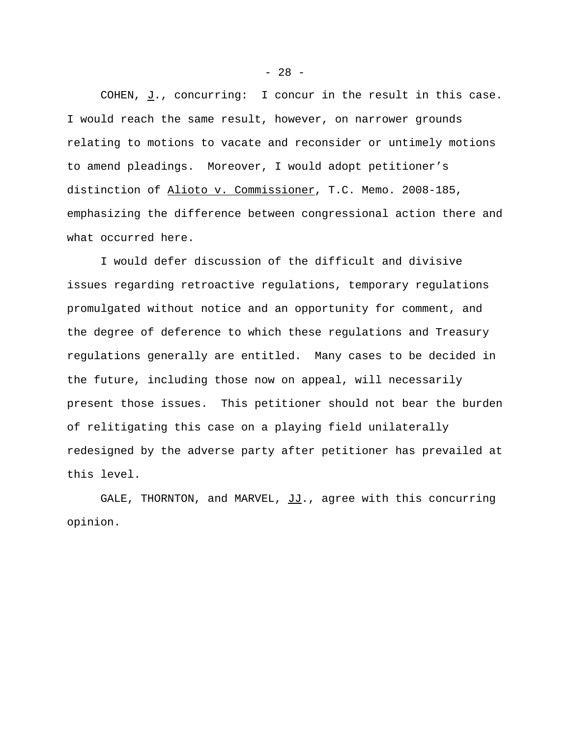COHEN, J., concurring: I concur in the result in this case. I would reach the same result, however, on narrower grounds relating to motions to vacate and reconsider or untimely motions to amend pleadings. Moreover, I would adopt petitioner's distinction of Alioto v. Commissioner, T.C. Memo. 2008-185, emphasizing the difference between congressional action there and what occurred here.

I would defer discussion of the difficult and divisive issues regarding retroactive regulations, temporary regulations promulgated without notice and an opportunity for comment, and the degree of deference to which these regulations and Treasury regulations generally are entitled. Many cases to be decided in the future, including those now on appeal, will necessarily present those issues. This petitioner should not bear the burden of relitigating this case on a playing field unilaterally redesigned by the adverse party after petitioner has prevailed at this level.

GALE, THORNTON, and MARVEL,  $JJ$ ., agree with this concurring opinion.

 $- 28 -$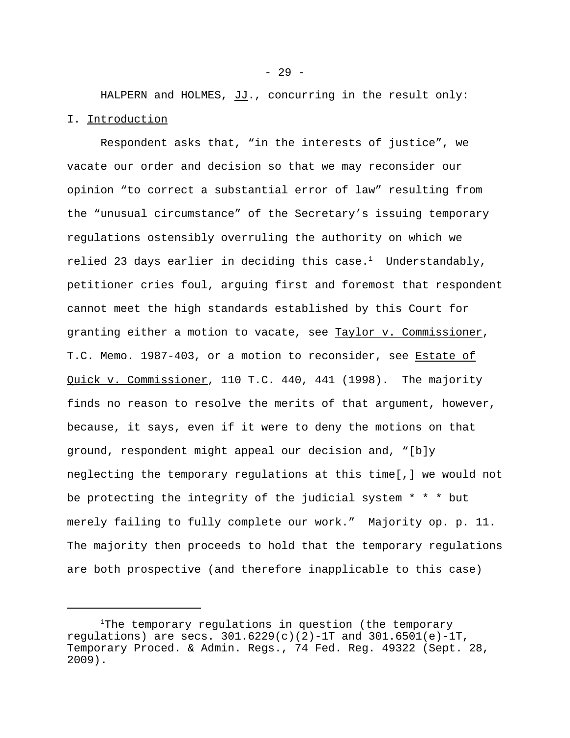HALPERN and HOLMES, JJ., concurring in the result only: I. Introduction

Respondent asks that, "in the interests of justice", we vacate our order and decision so that we may reconsider our opinion "to correct a substantial error of law" resulting from the "unusual circumstance" of the Secretary's issuing temporary regulations ostensibly overruling the authority on which we relied 23 days earlier in deciding this case.<sup>1</sup> Understandably, petitioner cries foul, arguing first and foremost that respondent cannot meet the high standards established by this Court for granting either a motion to vacate, see Taylor v. Commissioner, T.C. Memo. 1987-403, or a motion to reconsider, see Estate of Quick v. Commissioner, 110 T.C. 440, 441 (1998). The majority finds no reason to resolve the merits of that argument, however, because, it says, even if it were to deny the motions on that ground, respondent might appeal our decision and, "[b]y neglecting the temporary regulations at this time[,] we would not be protecting the integrity of the judicial system \* \* \* but merely failing to fully complete our work." Majority op. p. 11. The majority then proceeds to hold that the temporary regulations are both prospective (and therefore inapplicable to this case)

<sup>&</sup>lt;sup>1</sup>The temporary regulations in question (the temporary regulations) are secs.  $301.6229(c)(2)-1T$  and  $301.6501(e)-1T$ , Temporary Proced. & Admin. Regs., 74 Fed. Reg. 49322 (Sept. 28, 2009).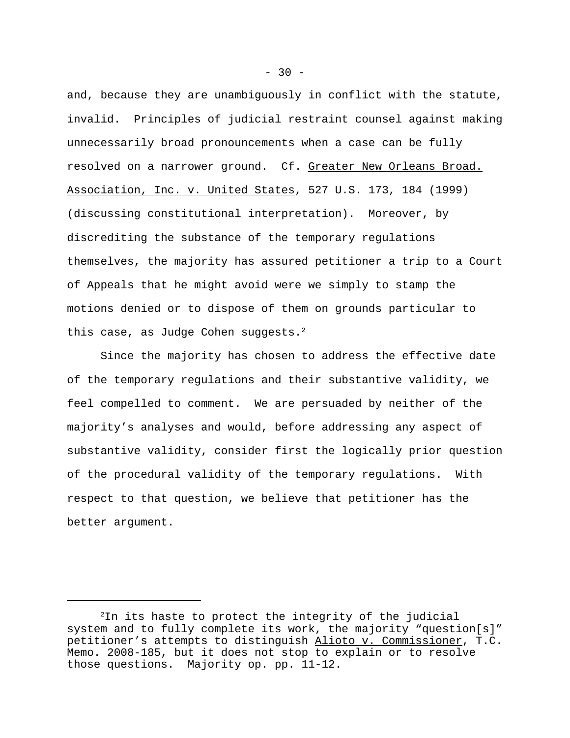and, because they are unambiguously in conflict with the statute, invalid. Principles of judicial restraint counsel against making unnecessarily broad pronouncements when a case can be fully resolved on a narrower ground. Cf. Greater New Orleans Broad. Association, Inc. v. United States, 527 U.S. 173, 184 (1999) (discussing constitutional interpretation). Moreover, by discrediting the substance of the temporary regulations themselves, the majority has assured petitioner a trip to a Court of Appeals that he might avoid were we simply to stamp the motions denied or to dispose of them on grounds particular to this case, as Judge Cohen suggests. $2$ 

Since the majority has chosen to address the effective date of the temporary regulations and their substantive validity, we feel compelled to comment. We are persuaded by neither of the majority's analyses and would, before addressing any aspect of substantive validity, consider first the logically prior question of the procedural validity of the temporary regulations. With respect to that question, we believe that petitioner has the better argument.

<sup>2</sup>In its haste to protect the integrity of the judicial system and to fully complete its work, the majority "question[s]" petitioner's attempts to distinguish Alioto v. Commissioner, T.C. Memo. 2008-185, but it does not stop to explain or to resolve those questions. Majority op. pp. 11-12.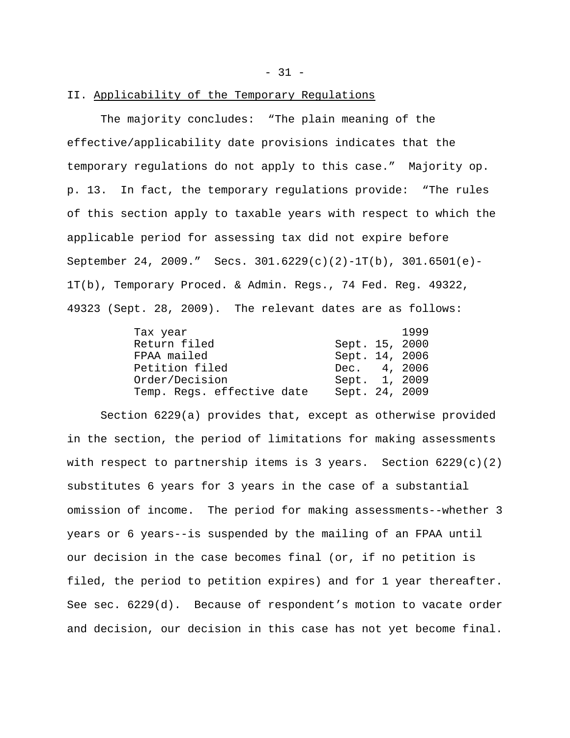$-31 -$ 

# II. Applicability of the Temporary Regulations

The majority concludes: "The plain meaning of the effective/applicability date provisions indicates that the temporary regulations do not apply to this case." Majority op. p. 13. In fact, the temporary regulations provide: "The rules of this section apply to taxable years with respect to which the applicable period for assessing tax did not expire before September 24, 2009." Secs. 301.6229(c)(2)-1T(b), 301.6501(e)- 1T(b), Temporary Proced. & Admin. Regs., 74 Fed. Reg. 49322, 49323 (Sept. 28, 2009). The relevant dates are as follows:

| Tax year                   |                | 1999 |
|----------------------------|----------------|------|
| Return filed               | Sept. 15, 2000 |      |
| FPAA mailed                | Sept. 14, 2006 |      |
| Petition filed             | Dec. 4, 2006   |      |
| Order/Decision             | Sept. 1, 2009  |      |
| Temp. Regs. effective date | Sept. 24, 2009 |      |

Section 6229(a) provides that, except as otherwise provided in the section, the period of limitations for making assessments with respect to partnership items is 3 years. Section  $6229(c)(2)$ substitutes 6 years for 3 years in the case of a substantial omission of income. The period for making assessments--whether 3 years or 6 years--is suspended by the mailing of an FPAA until our decision in the case becomes final (or, if no petition is filed, the period to petition expires) and for 1 year thereafter. See sec. 6229(d). Because of respondent's motion to vacate order and decision, our decision in this case has not yet become final.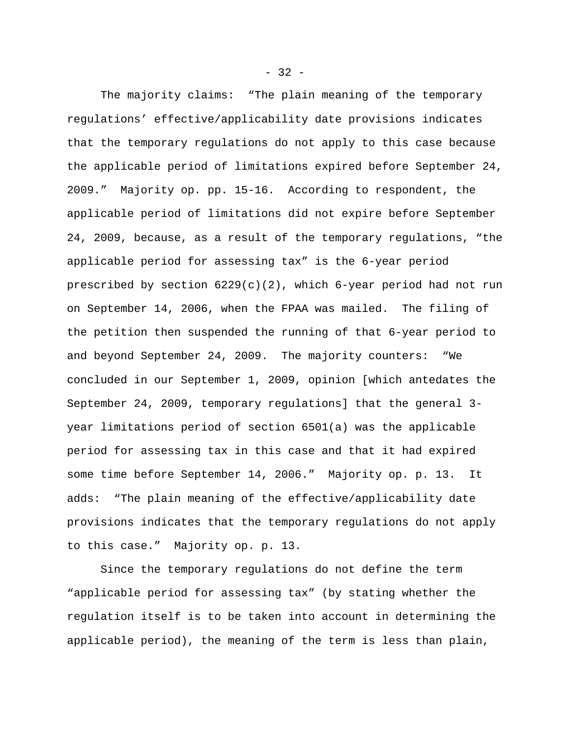The majority claims: "The plain meaning of the temporary regulations' effective/applicability date provisions indicates that the temporary regulations do not apply to this case because the applicable period of limitations expired before September 24, 2009." Majority op. pp. 15-16. According to respondent, the applicable period of limitations did not expire before September 24, 2009, because, as a result of the temporary regulations, "the applicable period for assessing tax" is the 6-year period prescribed by section  $6229(c)(2)$ , which  $6$ -year period had not run on September 14, 2006, when the FPAA was mailed. The filing of the petition then suspended the running of that 6-year period to and beyond September 24, 2009. The majority counters: "We concluded in our September 1, 2009, opinion [which antedates the September 24, 2009, temporary regulations] that the general 3 year limitations period of section 6501(a) was the applicable period for assessing tax in this case and that it had expired some time before September 14, 2006." Majority op. p. 13. It adds: "The plain meaning of the effective/applicability date provisions indicates that the temporary regulations do not apply to this case." Majority op. p. 13.

Since the temporary regulations do not define the term "applicable period for assessing tax" (by stating whether the regulation itself is to be taken into account in determining the applicable period), the meaning of the term is less than plain,

 $-32 -$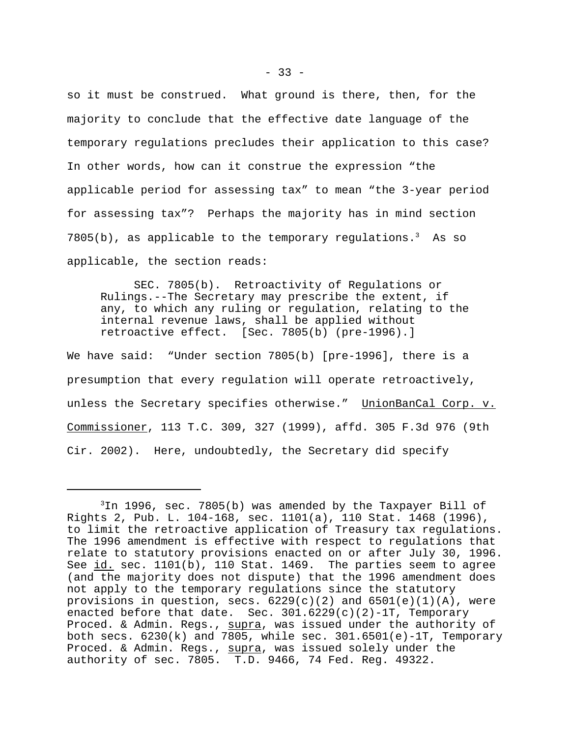so it must be construed. What ground is there, then, for the majority to conclude that the effective date language of the temporary regulations precludes their application to this case? In other words, how can it construe the expression "the applicable period for assessing tax" to mean "the 3-year period for assessing tax"? Perhaps the majority has in mind section  $7805(b)$ , as applicable to the temporary regulations.<sup>3</sup> As so applicable, the section reads:

SEC. 7805(b). Retroactivity of Regulations or Rulings.--The Secretary may prescribe the extent, if any, to which any ruling or regulation, relating to the internal revenue laws, shall be applied without retroactive effect. [Sec. 7805(b) (pre-1996).]

We have said: "Under section 7805(b) [pre-1996], there is a presumption that every regulation will operate retroactively, unless the Secretary specifies otherwise." UnionBanCal Corp. v. Commissioner, 113 T.C. 309, 327 (1999), affd. 305 F.3d 976 (9th Cir. 2002). Here, undoubtedly, the Secretary did specify

 $3$ In 1996, sec. 7805(b) was amended by the Taxpayer Bill of Rights 2, Pub. L. 104-168, sec. 1101(a), 110 Stat. 1468 (1996), to limit the retroactive application of Treasury tax regulations. The 1996 amendment is effective with respect to regulations that relate to statutory provisions enacted on or after July 30, 1996. See id. sec. 1101(b), 110 Stat. 1469. The parties seem to agree (and the majority does not dispute) that the 1996 amendment does not apply to the temporary regulations since the statutory provisions in question, secs.  $6229(c)(2)$  and  $6501(e)(1)(A)$ , were enacted before that date. Sec.  $301.6229(c)(2)-1T$ , Temporary Proced. & Admin. Regs., supra, was issued under the authority of both secs.  $6230(k)$  and 7805, while sec.  $301.6501(e) - 1T$ , Temporary Proced. & Admin. Regs., supra, was issued solely under the authority of sec. 7805. T.D. 9466, 74 Fed. Reg. 49322.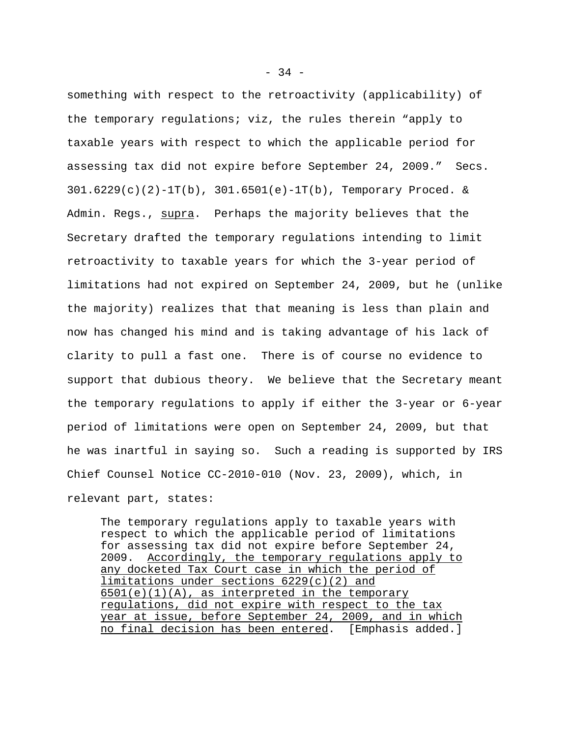something with respect to the retroactivity (applicability) of the temporary regulations; viz, the rules therein "apply to taxable years with respect to which the applicable period for assessing tax did not expire before September 24, 2009." Secs.  $301.6229(c)(2)-1T(b)$ ,  $301.6501(e)-1T(b)$ , Temporary Proced. & Admin. Regs., supra. Perhaps the majority believes that the Secretary drafted the temporary regulations intending to limit retroactivity to taxable years for which the 3-year period of limitations had not expired on September 24, 2009, but he (unlike the majority) realizes that that meaning is less than plain and now has changed his mind and is taking advantage of his lack of clarity to pull a fast one. There is of course no evidence to support that dubious theory. We believe that the Secretary meant the temporary regulations to apply if either the 3-year or 6-year period of limitations were open on September 24, 2009, but that he was inartful in saying so. Such a reading is supported by IRS Chief Counsel Notice CC-2010-010 (Nov. 23, 2009), which, in relevant part, states:

The temporary regulations apply to taxable years with respect to which the applicable period of limitations for assessing tax did not expire before September 24, 2009. Accordingly, the temporary regulations apply to any docketed Tax Court case in which the period of limitations under sections 6229(c)(2) and  $6501(e)(1)(A)$ , as interpreted in the temporary regulations, did not expire with respect to the tax year at issue, before September 24, 2009, and in which no final decision has been entered. [Emphasis added.]

 $-34 -$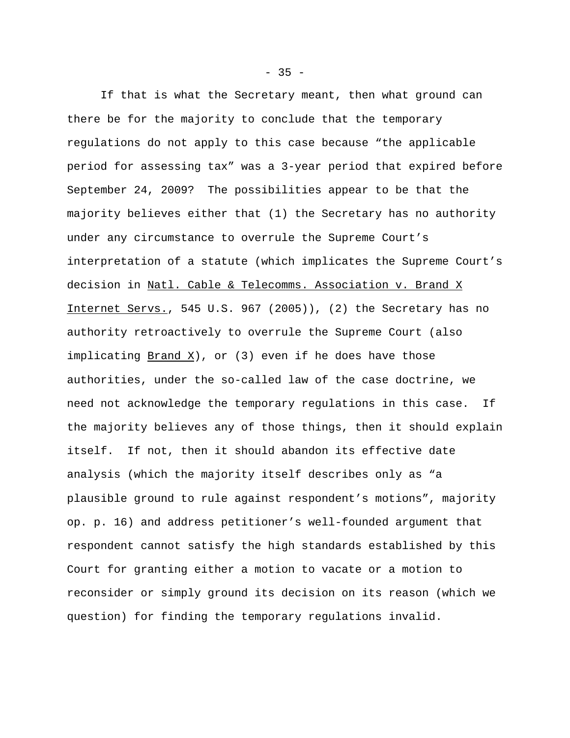If that is what the Secretary meant, then what ground can there be for the majority to conclude that the temporary regulations do not apply to this case because "the applicable period for assessing tax" was a 3-year period that expired before September 24, 2009? The possibilities appear to be that the majority believes either that (1) the Secretary has no authority under any circumstance to overrule the Supreme Court's interpretation of a statute (which implicates the Supreme Court's decision in Natl. Cable & Telecomms. Association v. Brand X Internet Servs., 545 U.S. 967 (2005)), (2) the Secretary has no authority retroactively to overrule the Supreme Court (also implicating Brand X), or (3) even if he does have those authorities, under the so-called law of the case doctrine, we need not acknowledge the temporary regulations in this case. If the majority believes any of those things, then it should explain itself. If not, then it should abandon its effective date analysis (which the majority itself describes only as "a plausible ground to rule against respondent's motions", majority op. p. 16) and address petitioner's well-founded argument that respondent cannot satisfy the high standards established by this Court for granting either a motion to vacate or a motion to reconsider or simply ground its decision on its reason (which we question) for finding the temporary regulations invalid.

 $-35 -$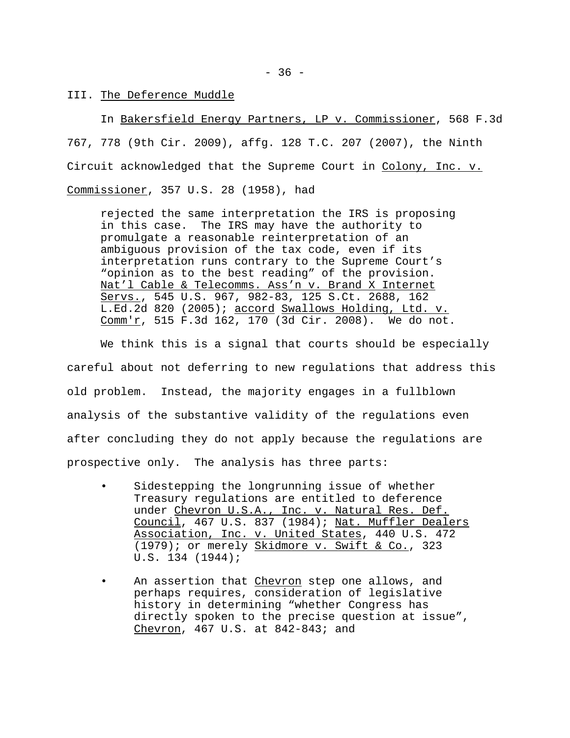In Bakersfield Energy Partners, LP v. Commissioner, 568 F.3d 767, 778 (9th Cir. 2009), affg. 128 T.C. 207 (2007), the Ninth Circuit acknowledged that the Supreme Court in Colony, Inc. v. Commissioner, 357 U.S. 28 (1958), had

rejected the same interpretation the IRS is proposing in this case. The IRS may have the authority to promulgate a reasonable reinterpretation of an ambiguous provision of the tax code, even if its interpretation runs contrary to the Supreme Court's "opinion as to the best reading" of the provision. Nat'l Cable & Telecomms. Ass'n v. Brand X Internet Servs., 545 U.S. 967, 982-83, 125 S.Ct. 2688, 162 L.Ed.2d 820 (2005); accord Swallows Holding, Ltd. v. Comm'r, 515 F.3d 162, 170 (3d Cir. 2008). We do not.

We think this is a signal that courts should be especially careful about not deferring to new regulations that address this old problem. Instead, the majority engages in a fullblown analysis of the substantive validity of the regulations even after concluding they do not apply because the regulations are prospective only. The analysis has three parts:

- Sidestepping the longrunning issue of whether Treasury regulations are entitled to deference under Chevron U.S.A., Inc. v. Natural Res. Def. Council, 467 U.S. 837 (1984); Nat. Muffler Dealers Association, Inc. v. United States, 440 U.S. 472 (1979); or merely Skidmore v. Swift & Co., 323 U.S. 134 (1944);
- An assertion that Chevron step one allows, and perhaps requires, consideration of legislative history in determining "whether Congress has directly spoken to the precise question at issue", Chevron, 467 U.S. at 842-843; and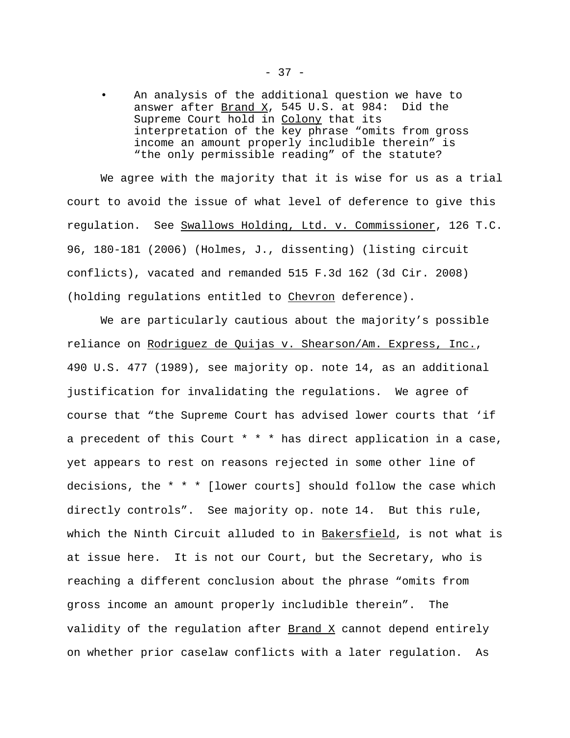An analysis of the additional question we have to answer after  $\frac{Brand X}{}$ , 545 U.S. at 984: Did the Supreme Court hold in Colony that its interpretation of the key phrase "omits from gross income an amount properly includible therein" is "the only permissible reading" of the statute?

We agree with the majority that it is wise for us as a trial court to avoid the issue of what level of deference to give this regulation. See Swallows Holding, Ltd. v. Commissioner, 126 T.C. 96, 180-181 (2006) (Holmes, J., dissenting) (listing circuit conflicts), vacated and remanded 515 F.3d 162 (3d Cir. 2008) (holding regulations entitled to Chevron deference).

We are particularly cautious about the majority's possible reliance on Rodriguez de Quijas v. Shearson/Am. Express, Inc., 490 U.S. 477 (1989), see majority op. note 14, as an additional justification for invalidating the regulations. We agree of course that "the Supreme Court has advised lower courts that 'if a precedent of this Court \* \* \* has direct application in a case, yet appears to rest on reasons rejected in some other line of decisions, the \* \* \* [lower courts] should follow the case which directly controls". See majority op. note 14. But this rule, which the Ninth Circuit alluded to in Bakersfield, is not what is at issue here. It is not our Court, but the Secretary, who is reaching a different conclusion about the phrase "omits from gross income an amount properly includible therein". The validity of the regulation after  $\frac{Brand X}{X}$  cannot depend entirely on whether prior caselaw conflicts with a later regulation. As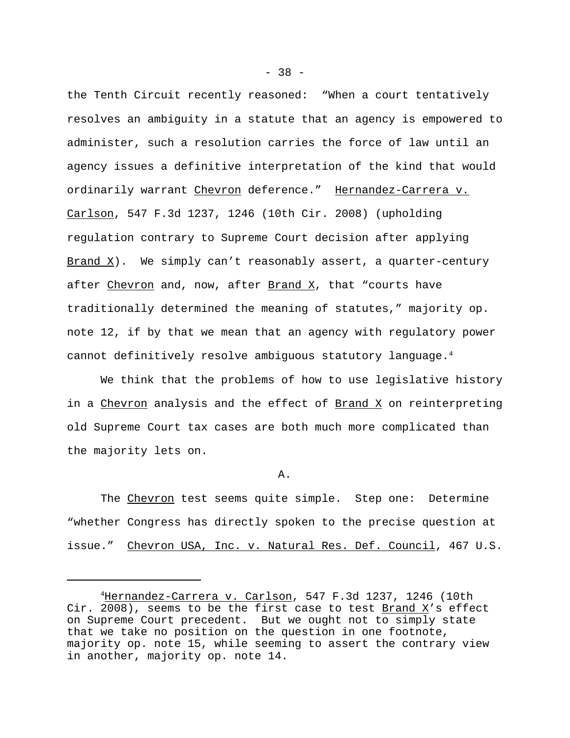the Tenth Circuit recently reasoned: "When a court tentatively resolves an ambiguity in a statute that an agency is empowered to administer, such a resolution carries the force of law until an agency issues a definitive interpretation of the kind that would ordinarily warrant Chevron deference." Hernandez-Carrera v. Carlson, 547 F.3d 1237, 1246 (10th Cir. 2008) (upholding regulation contrary to Supreme Court decision after applying Brand  $X$ ). We simply can't reasonably assert, a quarter-century after Chevron and, now, after  $\frac{Brand X}{X}$ , that "courts have traditionally determined the meaning of statutes," majority op. note 12, if by that we mean that an agency with regulatory power cannot definitively resolve ambiguous statutory language.<sup>4</sup>

We think that the problems of how to use legislative history in a Chevron analysis and the effect of Brand X on reinterpreting old Supreme Court tax cases are both much more complicated than the majority lets on.

A.

The Chevron test seems quite simple. Step one: Determine "whether Congress has directly spoken to the precise question at issue." Chevron USA, Inc. v. Natural Res. Def. Council, 467 U.S.

 $-38 -$ 

<sup>4</sup>Hernandez-Carrera v. Carlson, 547 F.3d 1237, 1246 (10th Cir. 2008), seems to be the first case to test  $\frac{Brand X}{s}$  seffect on Supreme Court precedent. But we ought not to simply state that we take no position on the question in one footnote, majority op. note 15, while seeming to assert the contrary view in another, majority op. note 14.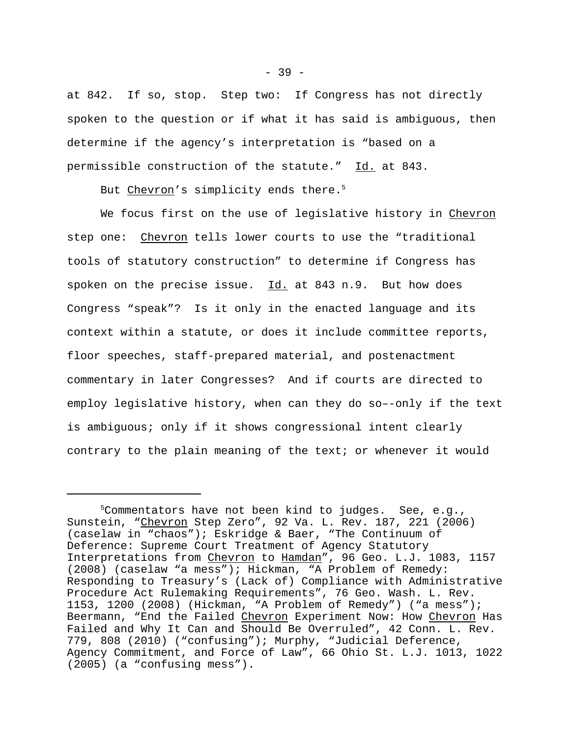at 842. If so, stop. Step two: If Congress has not directly spoken to the question or if what it has said is ambiguous, then determine if the agency's interpretation is "based on a permissible construction of the statute." Id. at 843.

But Chevron's simplicity ends there.<sup>5</sup>

We focus first on the use of legislative history in Chevron step one: Chevron tells lower courts to use the "traditional tools of statutory construction" to determine if Congress has spoken on the precise issue. Id. at 843 n.9. But how does Congress "speak"? Is it only in the enacted language and its context within a statute, or does it include committee reports, floor speeches, staff-prepared material, and postenactment commentary in later Congresses? And if courts are directed to employ legislative history, when can they do so–-only if the text is ambiguous; only if it shows congressional intent clearly contrary to the plain meaning of the text; or whenever it would

 $5$ Commentators have not been kind to judges. See, e.g., Sunstein, "Chevron Step Zero", 92 Va. L. Rev. 187, 221 (2006) (caselaw in "chaos"); Eskridge & Baer, "The Continuum of Deference: Supreme Court Treatment of Agency Statutory Interpretations from Chevron to Hamdan", 96 Geo. L.J. 1083, 1157 (2008) (caselaw "a mess"); Hickman, "A Problem of Remedy: Responding to Treasury's (Lack of) Compliance with Administrative Procedure Act Rulemaking Requirements", 76 Geo. Wash. L. Rev. 1153, 1200 (2008) (Hickman, "A Problem of Remedy") ("a mess"); Beermann, "End the Failed Chevron Experiment Now: How Chevron Has Failed and Why It Can and Should Be Overruled", 42 Conn. L. Rev. 779, 808 (2010) ("confusing"); Murphy, "Judicial Deference, Agency Commitment, and Force of Law", 66 Ohio St. L.J. 1013, 1022 (2005) (a "confusing mess").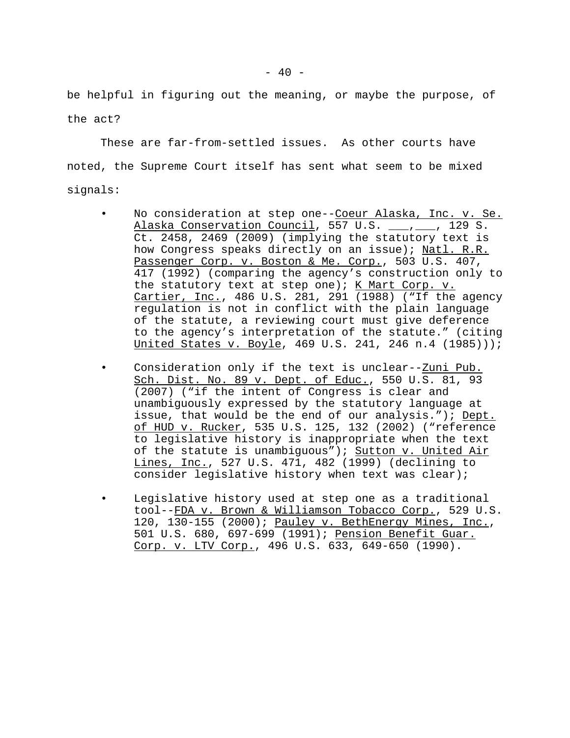be helpful in figuring out the meaning, or maybe the purpose, of the act?

These are far-from-settled issues. As other courts have noted, the Supreme Court itself has sent what seem to be mixed signals:

- No consideration at step one--Coeur Alaska, Inc. v. Se. Alaska Conservation Council, 557 U.S. \_\_\_, \_\_\_, 129 S. Ct. 2458, 2469 (2009) (implying the statutory text is how Congress speaks directly on an issue); Natl. R.R. Passenger Corp. v. Boston & Me. Corp., 503 U.S. 407, 417 (1992) (comparing the agency's construction only to the statutory text at step one); K Mart Corp.  $v$ . Cartier, Inc., 486 U.S. 281, 291 (1988) ("If the agency regulation is not in conflict with the plain language of the statute, a reviewing court must give deference to the agency's interpretation of the statute." (citing United States v. Boyle, 469 U.S. 241, 246 n.4 (1985)));
- Consideration only if the text is unclear--Zuni Pub. Sch. Dist. No. 89 v. Dept. of Educ., 550 U.S. 81, 93 (2007) ("if the intent of Congress is clear and unambiguously expressed by the statutory language at issue, that would be the end of our analysis."); Dept. of HUD v. Rucker, 535 U.S. 125, 132 (2002) ("reference to legislative history is inappropriate when the text of the statute is unambiguous"); Sutton v. United Air Lines, Inc., 527 U.S. 471, 482 (1999) (declining to consider legislative history when text was clear);
- Legislative history used at step one as a traditional tool--FDA v. Brown & Williamson Tobacco Corp., 529 U.S. 120, 130-155 (2000); Pauley v. BethEnergy Mines, Inc., 501 U.S. 680, 697-699 (1991); Pension Benefit Guar. Corp. v. LTV Corp., 496 U.S. 633, 649-650 (1990).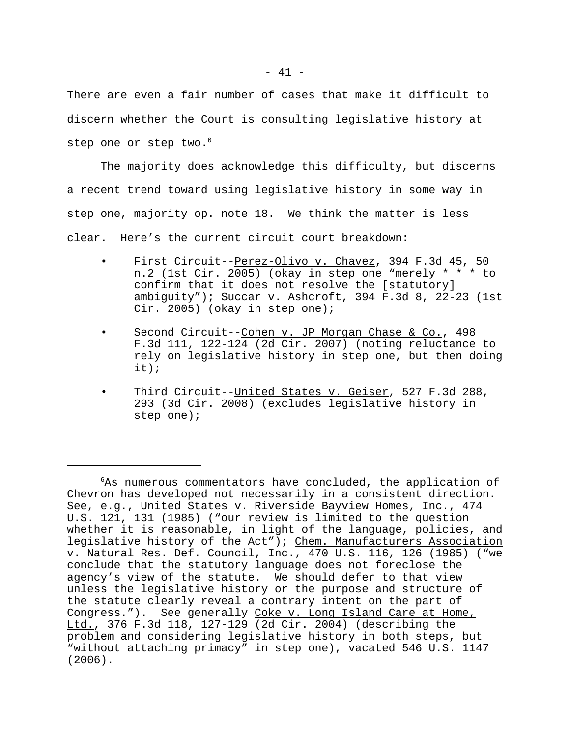There are even a fair number of cases that make it difficult to discern whether the Court is consulting legislative history at step one or step two.<sup>6</sup>

The majority does acknowledge this difficulty, but discerns a recent trend toward using legislative history in some way in step one, majority op. note 18. We think the matter is less clear. Here's the current circuit court breakdown:

- First Circuit--Perez-Olivo v. Chavez, 394 F.3d 45, 50 n.2 (1st Cir. 2005) (okay in step one "merely \* \* \* to confirm that it does not resolve the [statutory] ambiguity"); Succar v. Ashcroft, 394 F.3d 8, 22-23 (1st Cir. 2005) (okay in step one);
- Second Circuit--Cohen v. JP Morgan Chase & Co., 498 F.3d 111, 122-124 (2d Cir. 2007) (noting reluctance to rely on legislative history in step one, but then doing it);
- Third Circuit--United States v. Geiser, 527 F.3d 288, 293 (3d Cir. 2008) (excludes legislative history in step one);

 $6As$  numerous commentators have concluded, the application of Chevron has developed not necessarily in a consistent direction. See, e.g., United States v. Riverside Bayview Homes, Inc., 474 U.S. 121, 131 (1985) ("our review is limited to the question whether it is reasonable, in light of the language, policies, and legislative history of the Act"); Chem. Manufacturers Association v. Natural Res. Def. Council, Inc., 470 U.S. 116, 126 (1985) ("we conclude that the statutory language does not foreclose the agency's view of the statute. We should defer to that view unless the legislative history or the purpose and structure of the statute clearly reveal a contrary intent on the part of Congress."). See generally Coke v. Long Island Care at Home, Ltd., 376 F.3d 118, 127-129 (2d Cir. 2004) (describing the problem and considering legislative history in both steps, but "without attaching primacy" in step one), vacated 546 U.S. 1147 (2006).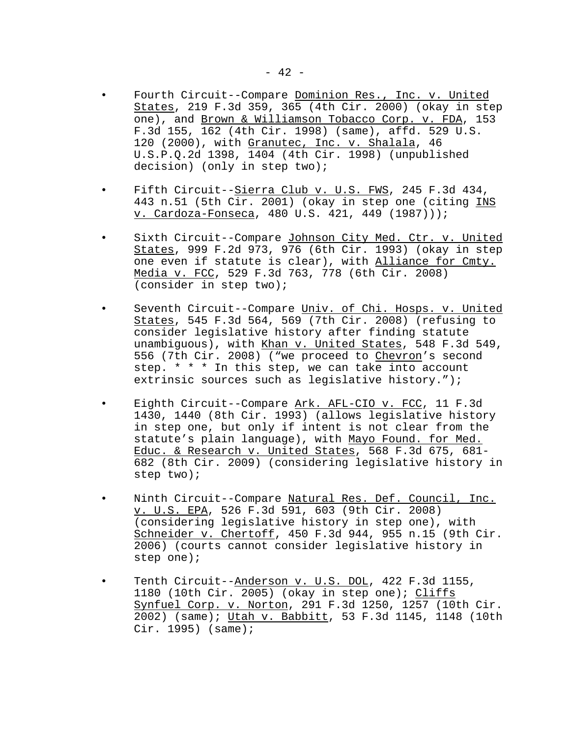- Fourth Circuit--Compare Dominion Res., Inc. v. United States, 219 F.3d 359, 365 (4th Cir. 2000) (okay in step one), and Brown & Williamson Tobacco Corp. v. FDA, 153 F.3d 155, 162 (4th Cir. 1998) (same), affd. 529 U.S. 120 (2000), with Granutec, Inc. v. Shalala, 46 U.S.P.Q.2d 1398, 1404 (4th Cir. 1998) (unpublished decision) (only in step two);
- Fifth Circuit--Sierra Club v. U.S. FWS, 245 F.3d 434, 443 n.51 (5th Cir. 2001) (okay in step one (citing INS v. Cardoza-Fonseca, 480 U.S. 421, 449 (1987)));
- Sixth Circuit--Compare Johnson City Med. Ctr. v. United States, 999 F.2d 973, 976 (6th Cir. 1993) (okay in step one even if statute is clear), with Alliance for Cmty. Media v. FCC, 529 F.3d 763, 778 (6th Cir. 2008) (consider in step two);
- Seventh Circuit--Compare Univ. of Chi. Hosps. v. United States, 545 F.3d 564, 569 (7th Cir. 2008) (refusing to consider legislative history after finding statute unambiguous), with Khan v. United States, 548 F.3d 549, 556 (7th Cir. 2008) ("we proceed to Chevron's second step. \* \* \* In this step, we can take into account extrinsic sources such as legislative history.");
- Eighth Circuit--Compare Ark. AFL-CIO v. FCC, 11 F.3d 1430, 1440 (8th Cir. 1993) (allows legislative history in step one, but only if intent is not clear from the statute's plain language), with Mayo Found. for Med. Educ. & Research v. United States, 568 F.3d 675, 681- 682 (8th Cir. 2009) (considering legislative history in step two);
- Ninth Circuit--Compare Natural Res. Def. Council, Inc. v. U.S. EPA, 526 F.3d 591, 603 (9th Cir. 2008) (considering legislative history in step one), with Schneider v. Chertoff, 450 F.3d 944, 955 n.15 (9th Cir. 2006) (courts cannot consider legislative history in step one);
- Tenth Circuit--Anderson v. U.S. DOL, 422 F.3d 1155, 1180 (10th Cir. 2005) (okay in step one); Cliffs Synfuel Corp. v. Norton, 291 F.3d 1250, 1257 (10th Cir. 2002) (same); Utah v. Babbitt, 53 F.3d 1145, 1148 (10th Cir. 1995) (same);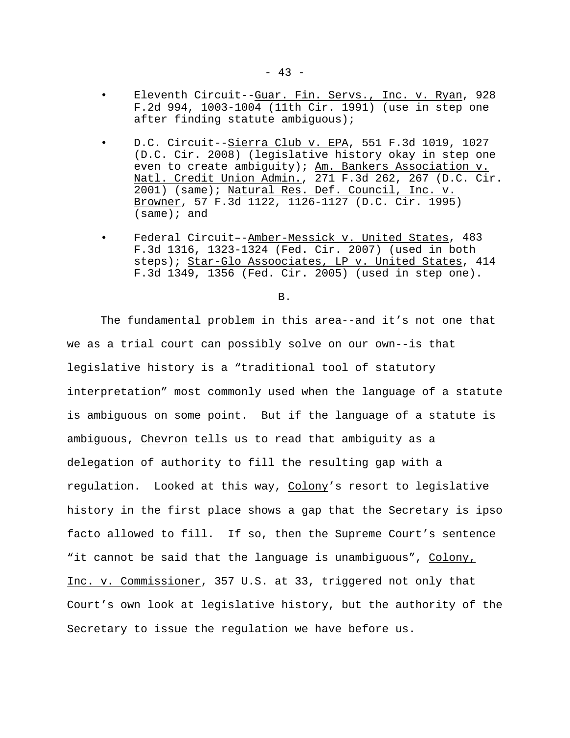- Eleventh Circuit--Guar. Fin. Servs., Inc. v. Ryan, 928 F.2d 994, 1003-1004 (11th Cir. 1991) (use in step one after finding statute ambiguous);
- D.C. Circuit--Sierra Club v. EPA, 551 F.3d 1019, 1027 (D.C. Cir. 2008) (legislative history okay in step one even to create ambiguity); Am. Bankers Association v. Natl. Credit Union Admin., 271 F.3d 262, 267 (D.C. Cir. 2001) (same); Natural Res. Def. Council, Inc. v. Browner, 57 F.3d 1122, 1126-1127 (D.C. Cir. 1995) (same); and
- Federal Circuit–-Amber-Messick v. United States, 483 F.3d 1316, 1323-1324 (Fed. Cir. 2007) (used in both steps); Star-Glo Assoociates, LP v. United States, 414 F.3d 1349, 1356 (Fed. Cir. 2005) (used in step one).

#### B.

The fundamental problem in this area--and it's not one that we as a trial court can possibly solve on our own--is that legislative history is a "traditional tool of statutory interpretation" most commonly used when the language of a statute is ambiguous on some point. But if the language of a statute is ambiguous, Chevron tells us to read that ambiguity as a delegation of authority to fill the resulting gap with a regulation. Looked at this way, Colony's resort to legislative history in the first place shows a gap that the Secretary is ipso facto allowed to fill. If so, then the Supreme Court's sentence "it cannot be said that the language is unambiguous", Colony, Inc. v. Commissioner, 357 U.S. at 33, triggered not only that Court's own look at legislative history, but the authority of the Secretary to issue the regulation we have before us.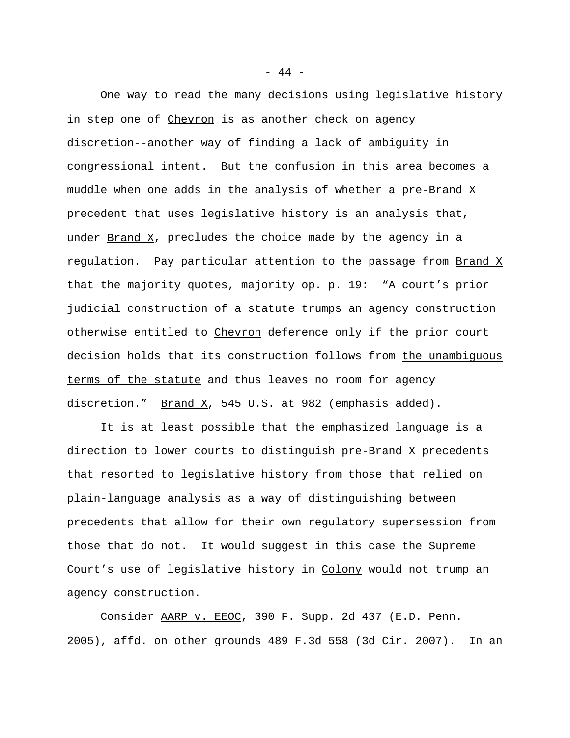One way to read the many decisions using legislative history in step one of Chevron is as another check on agency discretion--another way of finding a lack of ambiguity in congressional intent. But the confusion in this area becomes a muddle when one adds in the analysis of whether a pre-Brand X precedent that uses legislative history is an analysis that, under Brand X, precludes the choice made by the agency in a regulation. Pay particular attention to the passage from Brand X that the majority quotes, majority op. p. 19: "A court's prior judicial construction of a statute trumps an agency construction otherwise entitled to Chevron deference only if the prior court decision holds that its construction follows from the unambiguous terms of the statute and thus leaves no room for agency discretion."  $Brand X$ , 545 U.S. at 982 (emphasis added).</u>

It is at least possible that the emphasized language is a direction to lower courts to distinguish pre-Brand X precedents that resorted to legislative history from those that relied on plain-language analysis as a way of distinguishing between precedents that allow for their own regulatory supersession from those that do not. It would suggest in this case the Supreme Court's use of legislative history in Colony would not trump an agency construction.

Consider AARP v. EEOC, 390 F. Supp. 2d 437 (E.D. Penn. 2005), affd. on other grounds 489 F.3d 558 (3d Cir. 2007). In an

- 44 -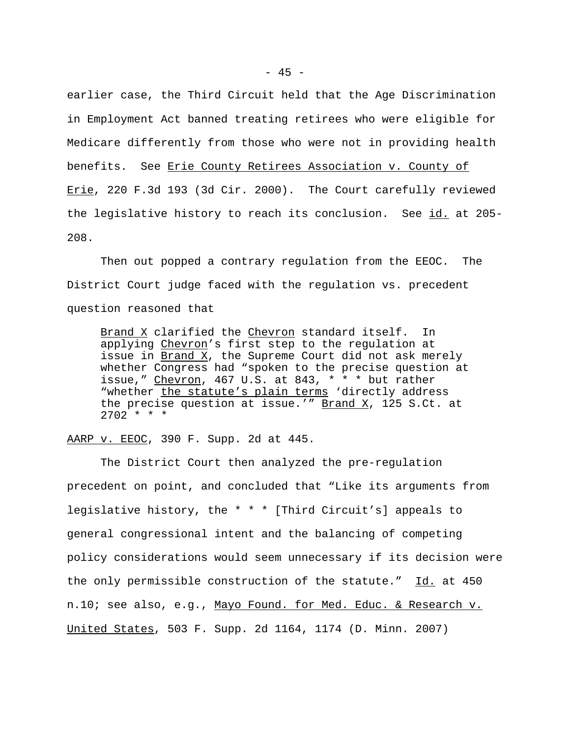earlier case, the Third Circuit held that the Age Discrimination in Employment Act banned treating retirees who were eligible for Medicare differently from those who were not in providing health benefits. See Erie County Retirees Association v. County of Erie, 220 F.3d 193 (3d Cir. 2000). The Court carefully reviewed the legislative history to reach its conclusion. See id. at 205-208.

Then out popped a contrary regulation from the EEOC. The District Court judge faced with the regulation vs. precedent question reasoned that

Brand X clarified the Chevron standard itself. In applying Chevron's first step to the regulation at issue in  $Brand X$ , the Supreme Court did not ask merely whether Congress had "spoken to the precise question at issue," Chevron, 467 U.S. at 843,  $* * *$  but rather "whether the statute's plain terms 'directly address the precise question at issue.'"  $\frac{Brand X}{A}$ , 125 S.Ct. at  $2702$  \* \* \*

AARP v. EEOC, 390 F. Supp. 2d at 445.

The District Court then analyzed the pre-regulation precedent on point, and concluded that "Like its arguments from legislative history, the \* \* \* [Third Circuit's] appeals to general congressional intent and the balancing of competing policy considerations would seem unnecessary if its decision were the only permissible construction of the statute." Id. at 450 n.10; see also, e.g., Mayo Found. for Med. Educ. & Research v. United States, 503 F. Supp. 2d 1164, 1174 (D. Minn. 2007)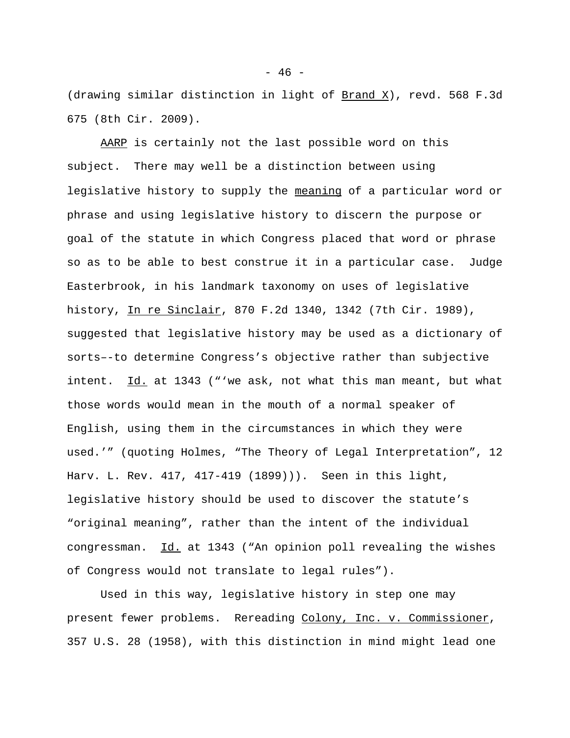(drawing similar distinction in light of Brand X), revd. 568 F.3d 675 (8th Cir. 2009).

AARP is certainly not the last possible word on this subject. There may well be a distinction between using legislative history to supply the meaning of a particular word or phrase and using legislative history to discern the purpose or goal of the statute in which Congress placed that word or phrase so as to be able to best construe it in a particular case. Judge Easterbrook, in his landmark taxonomy on uses of legislative history, In re Sinclair, 870 F.2d 1340, 1342 (7th Cir. 1989), suggested that legislative history may be used as a dictionary of sorts–-to determine Congress's objective rather than subjective intent. Id. at 1343 ("'we ask, not what this man meant, but what those words would mean in the mouth of a normal speaker of English, using them in the circumstances in which they were used.'" (quoting Holmes, "The Theory of Legal Interpretation", 12 Harv. L. Rev. 417, 417-419 (1899))). Seen in this light, legislative history should be used to discover the statute's "original meaning", rather than the intent of the individual congressman. Id. at 1343 ("An opinion poll revealing the wishes of Congress would not translate to legal rules").

Used in this way, legislative history in step one may present fewer problems. Rereading Colony, Inc. v. Commissioner, 357 U.S. 28 (1958), with this distinction in mind might lead one

- 46 -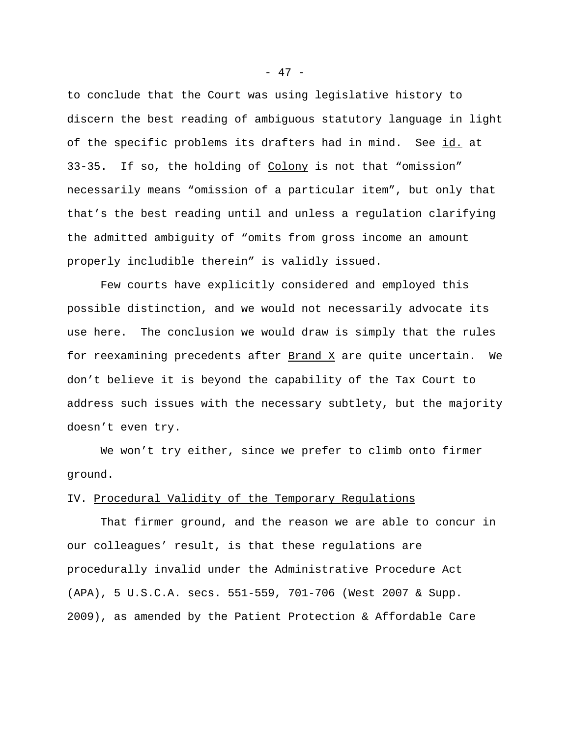to conclude that the Court was using legislative history to discern the best reading of ambiguous statutory language in light of the specific problems its drafters had in mind. See id. at 33-35. If so, the holding of Colony is not that "omission" necessarily means "omission of a particular item", but only that that's the best reading until and unless a regulation clarifying the admitted ambiguity of "omits from gross income an amount properly includible therein" is validly issued.

Few courts have explicitly considered and employed this possible distinction, and we would not necessarily advocate its use here. The conclusion we would draw is simply that the rules for reexamining precedents after Brand X are quite uncertain. We don't believe it is beyond the capability of the Tax Court to address such issues with the necessary subtlety, but the majority doesn't even try.

We won't try either, since we prefer to climb onto firmer ground.

# IV. Procedural Validity of the Temporary Regulations

That firmer ground, and the reason we are able to concur in our colleagues' result, is that these regulations are procedurally invalid under the Administrative Procedure Act (APA), 5 U.S.C.A. secs. 551-559, 701-706 (West 2007 & Supp. 2009), as amended by the Patient Protection & Affordable Care

- 47 -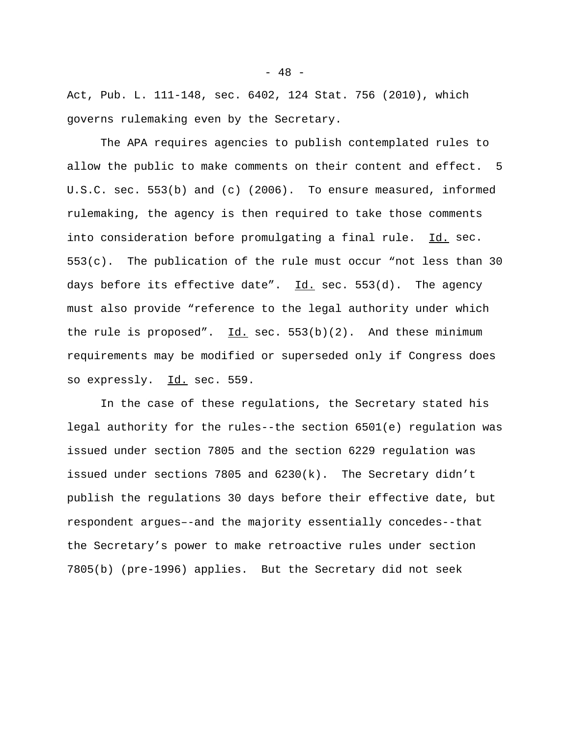Act, Pub. L. 111-148, sec. 6402, 124 Stat. 756 (2010), which governs rulemaking even by the Secretary.

The APA requires agencies to publish contemplated rules to allow the public to make comments on their content and effect. 5 U.S.C. sec. 553(b) and (c) (2006). To ensure measured, informed rulemaking, the agency is then required to take those comments into consideration before promulgating a final rule. Id. sec. 553(c). The publication of the rule must occur "not less than 30 days before its effective date".  $\underline{Id.}$  sec. 553(d). The agency must also provide "reference to the legal authority under which the rule is proposed".  $Id.$  sec.  $553(b)(2)$ . And these minimum requirements may be modified or superseded only if Congress does so expressly. Id. sec. 559.

In the case of these regulations, the Secretary stated his legal authority for the rules--the section 6501(e) regulation was issued under section 7805 and the section 6229 regulation was issued under sections 7805 and 6230(k). The Secretary didn't publish the regulations 30 days before their effective date, but respondent argues–-and the majority essentially concedes--that the Secretary's power to make retroactive rules under section 7805(b) (pre-1996) applies. But the Secretary did not seek

 $- 48 -$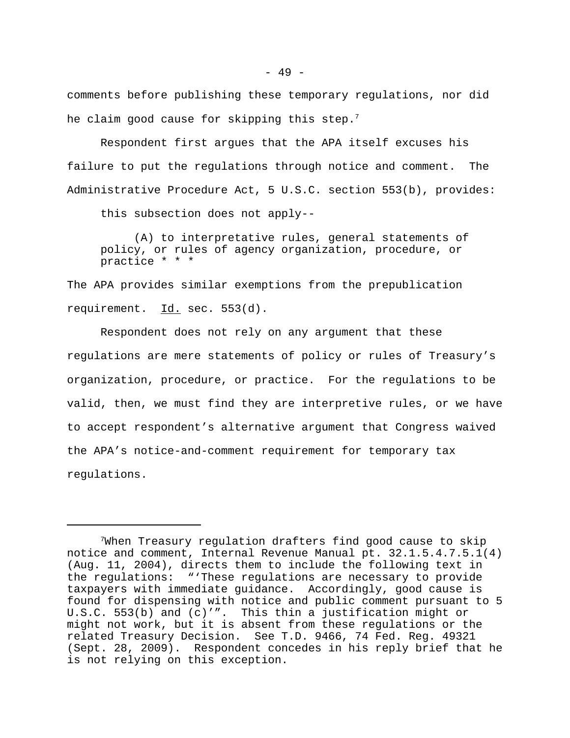comments before publishing these temporary regulations, nor did he claim good cause for skipping this step.<sup>7</sup>

Respondent first argues that the APA itself excuses his failure to put the regulations through notice and comment. The Administrative Procedure Act, 5 U.S.C. section 553(b), provides:

this subsection does not apply--

(A) to interpretative rules, general statements of policy, or rules of agency organization, procedure, or practice \* \* \*

The APA provides similar exemptions from the prepublication requirement. Id. sec. 553(d).

Respondent does not rely on any argument that these regulations are mere statements of policy or rules of Treasury's organization, procedure, or practice. For the regulations to be valid, then, we must find they are interpretive rules, or we have to accept respondent's alternative argument that Congress waived the APA's notice-and-comment requirement for temporary tax regulations.

<sup>7</sup>When Treasury regulation drafters find good cause to skip notice and comment, Internal Revenue Manual pt. 32.1.5.4.7.5.1(4) (Aug. 11, 2004), directs them to include the following text in the regulations: "'These regulations are necessary to provide taxpayers with immediate guidance. Accordingly, good cause is found for dispensing with notice and public comment pursuant to 5 U.S.C. 553(b) and (c)'". This thin a justification might or might not work, but it is absent from these regulations or the related Treasury Decision. See T.D. 9466, 74 Fed. Reg. 49321 (Sept. 28, 2009). Respondent concedes in his reply brief that he is not relying on this exception.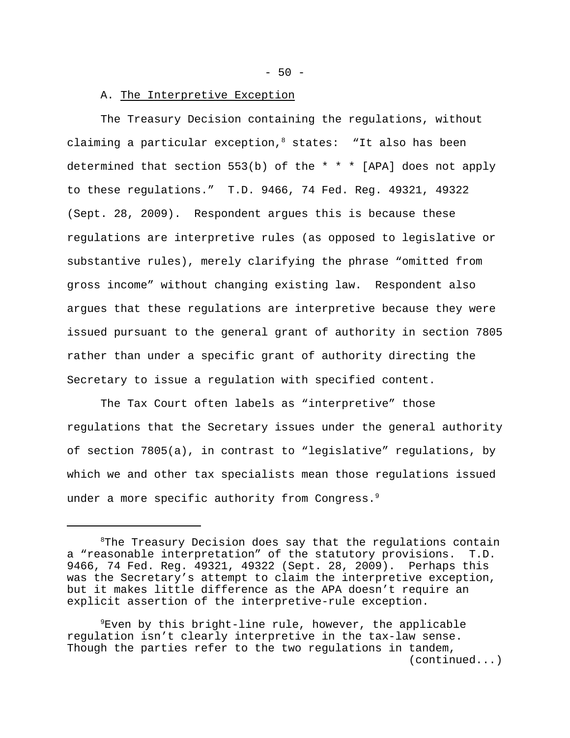$-50 -$ 

# A. The Interpretive Exception

The Treasury Decision containing the regulations, without claiming a particular exception,  $8$  states: "It also has been determined that section 553(b) of the \* \* \* [APA] does not apply to these regulations." T.D. 9466, 74 Fed. Reg. 49321, 49322 (Sept. 28, 2009). Respondent argues this is because these regulations are interpretive rules (as opposed to legislative or substantive rules), merely clarifying the phrase "omitted from gross income" without changing existing law. Respondent also argues that these regulations are interpretive because they were issued pursuant to the general grant of authority in section 7805 rather than under a specific grant of authority directing the Secretary to issue a regulation with specified content.

The Tax Court often labels as "interpretive" those regulations that the Secretary issues under the general authority of section 7805(a), in contrast to "legislative" regulations, by which we and other tax specialists mean those regulations issued under a more specific authority from Congress.<sup>9</sup>

 $8$ The Treasury Decision does say that the regulations contain a "reasonable interpretation" of the statutory provisions. T.D. 9466, 74 Fed. Reg. 49321, 49322 (Sept. 28, 2009). Perhaps this was the Secretary's attempt to claim the interpretive exception, but it makes little difference as the APA doesn't require an explicit assertion of the interpretive-rule exception.

<sup>9</sup>Even by this bright-line rule, however, the applicable regulation isn't clearly interpretive in the tax-law sense. Though the parties refer to the two regulations in tandem, (continued...)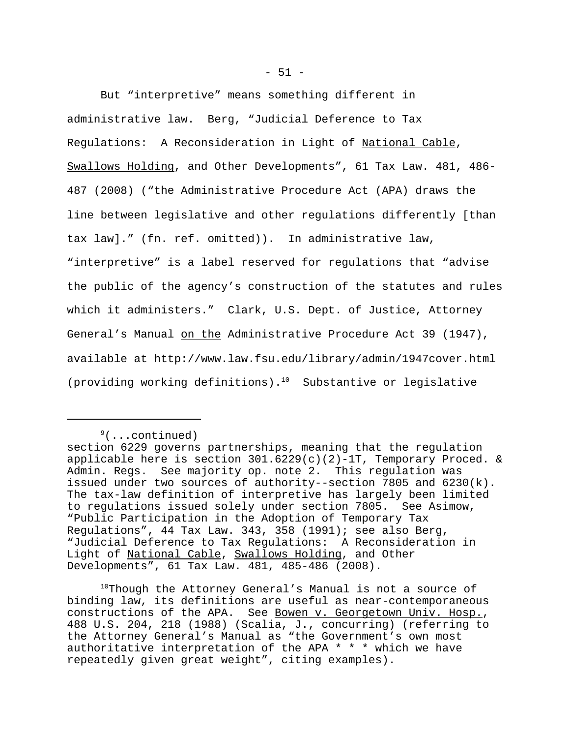But "interpretive" means something different in administrative law. Berg, "Judicial Deference to Tax Regulations: A Reconsideration in Light of National Cable, Swallows Holding, and Other Developments", 61 Tax Law. 481, 486- 487 (2008) ("the Administrative Procedure Act (APA) draws the line between legislative and other regulations differently [than tax law]." (fn. ref. omitted)). In administrative law, "interpretive" is a label reserved for regulations that "advise the public of the agency's construction of the statutes and rules which it administers." Clark, U.S. Dept. of Justice, Attorney General's Manual on the Administrative Procedure Act 39 (1947), available at http://www.law.fsu.edu/library/admin/1947cover.html (providing working definitions). $10$  Substantive or legislative

 $9($ ...continued)

 $10$ Though the Attorney General's Manual is not a source of binding law, its definitions are useful as near-contemporaneous constructions of the APA. See Bowen v. Georgetown Univ. Hosp., 488 U.S. 204, 218 (1988) (Scalia, J., concurring) (referring to the Attorney General's Manual as "the Government's own most authoritative interpretation of the APA  $* * *$  which we have repeatedly given great weight", citing examples).

section 6229 governs partnerships, meaning that the regulation applicable here is section  $301.6229(c)(2)-1T$ , Temporary Proced. & Admin. Regs. See majority op. note 2. This regulation was issued under two sources of authority--section 7805 and 6230(k). The tax-law definition of interpretive has largely been limited to regulations issued solely under section 7805. See Asimow, "Public Participation in the Adoption of Temporary Tax Regulations", 44 Tax Law. 343, 358 (1991); see also Berg, "Judicial Deference to Tax Regulations: A Reconsideration in Light of National Cable, Swallows Holding, and Other Developments", 61 Tax Law. 481, 485-486 (2008).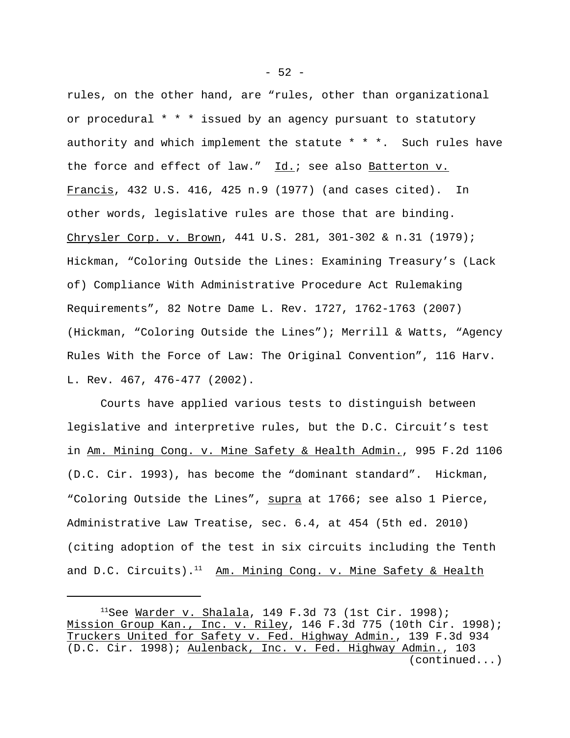rules, on the other hand, are "rules, other than organizational or procedural \* \* \* issued by an agency pursuant to statutory authority and which implement the statute  $* * *$ . Such rules have the force and effect of law."  $\underline{Id.}$ ; see also  $\underline{Batterton}$  v. Francis, 432 U.S. 416, 425 n.9 (1977) (and cases cited). In other words, legislative rules are those that are binding. Chrysler Corp. v. Brown, 441 U.S. 281, 301-302 & n.31 (1979); Hickman, "Coloring Outside the Lines: Examining Treasury's (Lack of) Compliance With Administrative Procedure Act Rulemaking Requirements", 82 Notre Dame L. Rev. 1727, 1762-1763 (2007) (Hickman, "Coloring Outside the Lines"); Merrill & Watts, "Agency Rules With the Force of Law: The Original Convention", 116 Harv. L. Rev. 467, 476-477 (2002).

Courts have applied various tests to distinguish between legislative and interpretive rules, but the D.C. Circuit's test in Am. Mining Cong. v. Mine Safety & Health Admin., 995 F.2d 1106 (D.C. Cir. 1993), has become the "dominant standard". Hickman, "Coloring Outside the Lines", supra at 1766; see also 1 Pierce, Administrative Law Treatise, sec. 6.4, at 454 (5th ed. 2010) (citing adoption of the test in six circuits including the Tenth and D.C. Circuits).<sup>11</sup> Am. Mining Cong. v. Mine Safety & Health

 $-52 -$ 

<sup>&</sup>lt;sup>11</sup>See <u>Warder v. Shalala</u>, 149 F.3d 73 (1st Cir. 1998); Mission Group Kan., Inc. v. Riley, 146 F.3d 775 (10th Cir. 1998); Truckers United for Safety v. Fed. Highway Admin., 139 F.3d 934 (D.C. Cir. 1998); Aulenback, Inc. v. Fed. Highway Admin., 103 (continued...)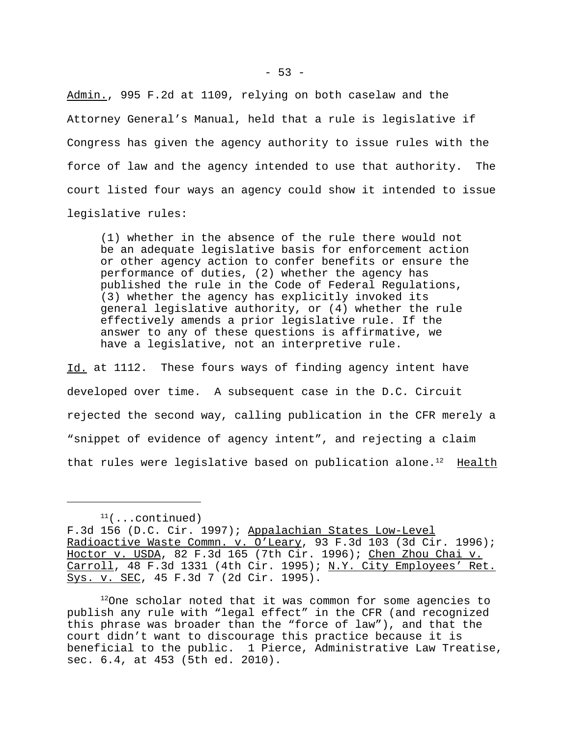Admin., 995 F.2d at 1109, relying on both caselaw and the Attorney General's Manual, held that a rule is legislative if Congress has given the agency authority to issue rules with the force of law and the agency intended to use that authority. The court listed four ways an agency could show it intended to issue legislative rules:

(1) whether in the absence of the rule there would not be an adequate legislative basis for enforcement action or other agency action to confer benefits or ensure the performance of duties, (2) whether the agency has published the rule in the Code of Federal Regulations, (3) whether the agency has explicitly invoked its general legislative authority, or (4) whether the rule effectively amends a prior legislative rule. If the answer to any of these questions is affirmative, we have a legislative, not an interpretive rule.

Id. at 1112. These fours ways of finding agency intent have developed over time. A subsequent case in the D.C. Circuit rejected the second way, calling publication in the CFR merely a "snippet of evidence of agency intent", and rejecting a claim that rules were legislative based on publication alone. $12$  Health

 $11$ (...continued)

F.3d 156 (D.C. Cir. 1997); Appalachian States Low-Level Radioactive Waste Commn. v. O'Leary, 93 F.3d 103 (3d Cir. 1996); Hoctor v. USDA, 82 F.3d 165 (7th Cir. 1996); Chen Zhou Chai v. Carroll, 48 F.3d 1331 (4th Cir. 1995); N.Y. City Employees' Ret. Sys. v. SEC, 45 F.3d 7 (2d Cir. 1995).

 $12$ One scholar noted that it was common for some agencies to publish any rule with "legal effect" in the CFR (and recognized this phrase was broader than the "force of law"), and that the court didn't want to discourage this practice because it is beneficial to the public. 1 Pierce, Administrative Law Treatise, sec. 6.4, at 453 (5th ed. 2010).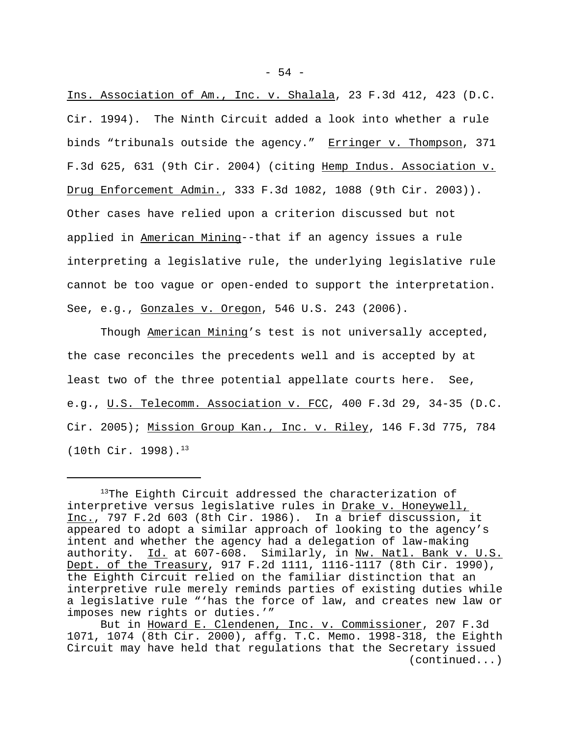Ins. Association of Am., Inc. v. Shalala, 23 F.3d 412, 423 (D.C. Cir. 1994). The Ninth Circuit added a look into whether a rule binds "tribunals outside the agency." Erringer v. Thompson, 371 F.3d 625, 631 (9th Cir. 2004) (citing Hemp Indus. Association v. Drug Enforcement Admin., 333 F.3d 1082, 1088 (9th Cir. 2003)). Other cases have relied upon a criterion discussed but not applied in American Mining--that if an agency issues a rule interpreting a legislative rule, the underlying legislative rule cannot be too vague or open-ended to support the interpretation. See, e.g., Gonzales v. Oregon, 546 U.S. 243 (2006).

Though American Mining's test is not universally accepted, the case reconciles the precedents well and is accepted by at least two of the three potential appellate courts here. See, e.g., U.S. Telecomm. Association v. FCC, 400 F.3d 29, 34-35 (D.C. Cir. 2005); Mission Group Kan., Inc. v. Riley, 146 F.3d 775, 784 (10th Cir. 1998).13

<sup>&</sup>lt;sup>13</sup>The Eighth Circuit addressed the characterization of interpretive versus legislative rules in Drake v. Honeywell, Inc., 797 F.2d 603 (8th Cir. 1986). In a brief discussion, it appeared to adopt a similar approach of looking to the agency's intent and whether the agency had a delegation of law-making authority. Id. at 607-608. Similarly, in Nw. Natl. Bank v. U.S. Dept. of the Treasury, 917 F.2d 1111, 1116-1117 (8th Cir. 1990), the Eighth Circuit relied on the familiar distinction that an interpretive rule merely reminds parties of existing duties while a legislative rule "'has the force of law, and creates new law or imposes new rights or duties.'"

But in Howard E. Clendenen, Inc. v. Commissioner, 207 F.3d 1071, 1074 (8th Cir. 2000), affg. T.C. Memo. 1998-318, the Eighth Circuit may have held that regulations that the Secretary issued (continued...)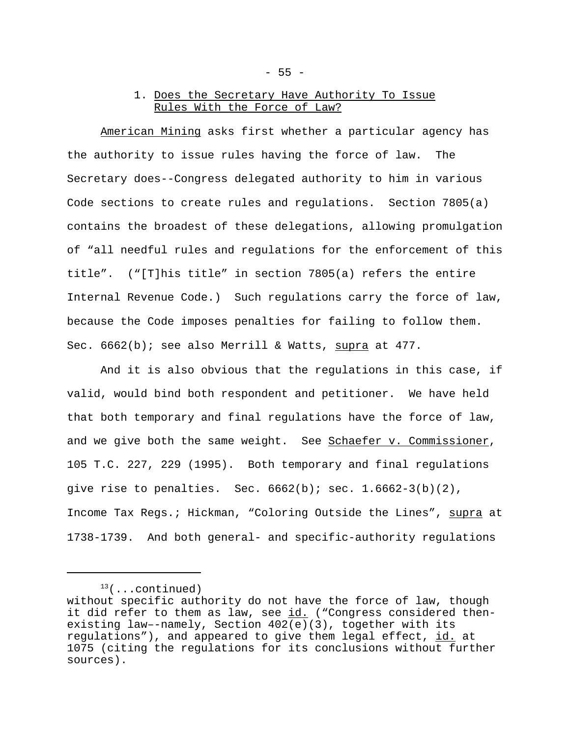# 1. Does the Secretary Have Authority To Issue Rules With the Force of Law?

American Mining asks first whether a particular agency has the authority to issue rules having the force of law. The Secretary does--Congress delegated authority to him in various Code sections to create rules and regulations. Section 7805(a) contains the broadest of these delegations, allowing promulgation of "all needful rules and regulations for the enforcement of this title". ("[T]his title" in section 7805(a) refers the entire Internal Revenue Code.) Such regulations carry the force of law, because the Code imposes penalties for failing to follow them. Sec. 6662(b); see also Merrill & Watts, supra at 477.

And it is also obvious that the regulations in this case, if valid, would bind both respondent and petitioner. We have held that both temporary and final regulations have the force of law, and we give both the same weight. See Schaefer v. Commissioner, 105 T.C. 227, 229 (1995). Both temporary and final regulations give rise to penalties. Sec.  $6662(b)$ ; sec.  $1.6662-3(b)(2)$ , Income Tax Regs.; Hickman, "Coloring Outside the Lines", supra at 1738-1739. And both general- and specific-authority regulations

 $13($ ...continued)

without specific authority do not have the force of law, though it did refer to them as law, see id. ("Congress considered thenexisting law–-namely, Section 402(e)(3), together with its regulations"), and appeared to give them legal effect, id. at 1075 (citing the regulations for its conclusions without further sources).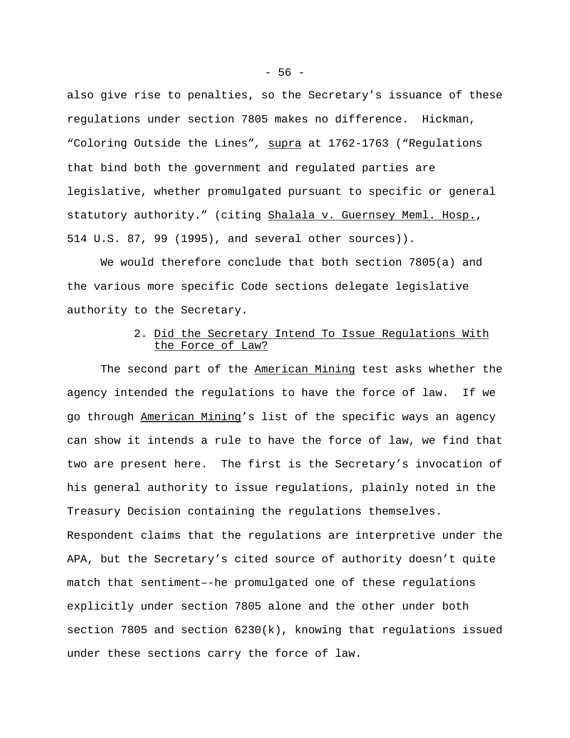also give rise to penalties, so the Secretary's issuance of these regulations under section 7805 makes no difference. Hickman, "Coloring Outside the Lines"*,* supra at 1762-1763 ("Regulations that bind both the government and regulated parties are legislative, whether promulgated pursuant to specific or general statutory authority." (citing Shalala v. Guernsey Meml. Hosp., 514 U.S. 87, 99 (1995), and several other sources)).

We would therefore conclude that both section 7805(a) and the various more specific Code sections delegate legislative authority to the Secretary.

# 2. Did the Secretary Intend To Issue Regulations With the Force of Law?

The second part of the American Mining test asks whether the agency intended the regulations to have the force of law. If we go through American Mining's list of the specific ways an agency can show it intends a rule to have the force of law, we find that two are present here. The first is the Secretary's invocation of his general authority to issue regulations, plainly noted in the Treasury Decision containing the regulations themselves. Respondent claims that the regulations are interpretive under the APA, but the Secretary's cited source of authority doesn't quite match that sentiment–-he promulgated one of these regulations explicitly under section 7805 alone and the other under both section 7805 and section 6230(k), knowing that regulations issued under these sections carry the force of law.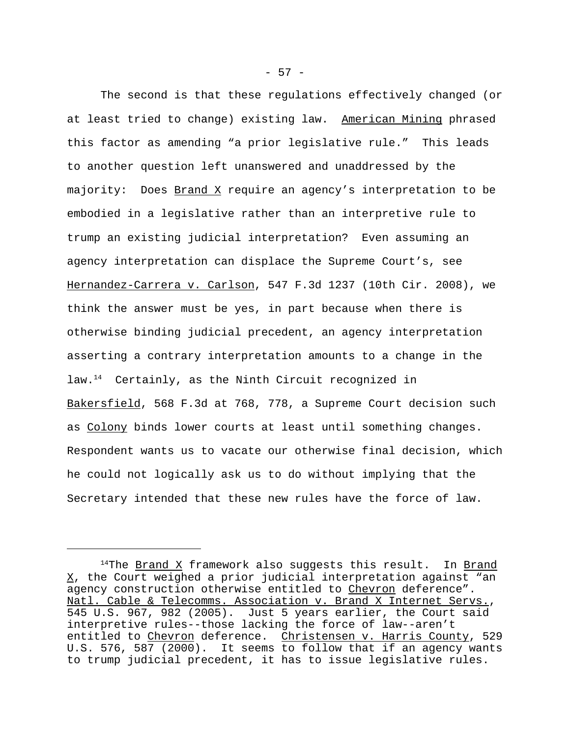The second is that these regulations effectively changed (or at least tried to change) existing law. American Mining phrased this factor as amending "a prior legislative rule." This leads to another question left unanswered and unaddressed by the majority: Does Brand X require an agency's interpretation to be embodied in a legislative rather than an interpretive rule to trump an existing judicial interpretation? Even assuming an agency interpretation can displace the Supreme Court's, see Hernandez-Carrera v. Carlson, 547 F.3d 1237 (10th Cir. 2008), we think the answer must be yes, in part because when there is otherwise binding judicial precedent, an agency interpretation asserting a contrary interpretation amounts to a change in the law.<sup>14</sup> Certainly, as the Ninth Circuit recognized in Bakersfield, 568 F.3d at 768, 778, a Supreme Court decision such as Colony binds lower courts at least until something changes. Respondent wants us to vacate our otherwise final decision, which he could not logically ask us to do without implying that the Secretary intended that these new rules have the force of law.

 $14$ The Brand X framework also suggests this result. In Brand  $X$ , the Court weighed a prior judicial interpretation against "an agency construction otherwise entitled to Chevron deference". Natl. Cable & Telecomms. Association v. Brand X Internet Servs., 545 U.S. 967, 982 (2005). Just 5 years earlier, the Court said interpretive rules--those lacking the force of law--aren't entitled to Chevron deference. Christensen v. Harris County, 529 U.S. 576, 587 (2000). It seems to follow that if an agency wants to trump judicial precedent, it has to issue legislative rules.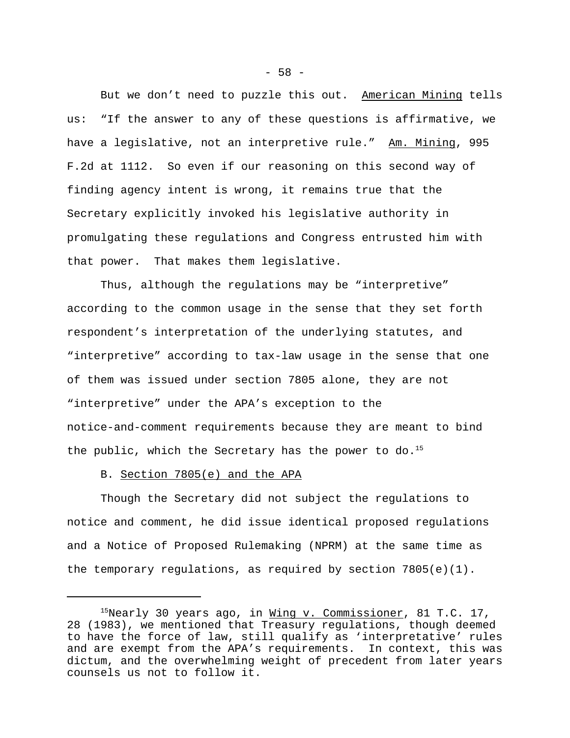But we don't need to puzzle this out. American Mining tells us: "If the answer to any of these questions is affirmative, we have a legislative, not an interpretive rule." Am. Mining, 995 F.2d at 1112. So even if our reasoning on this second way of finding agency intent is wrong, it remains true that the Secretary explicitly invoked his legislative authority in promulgating these regulations and Congress entrusted him with that power. That makes them legislative.

Thus, although the regulations may be "interpretive" according to the common usage in the sense that they set forth respondent's interpretation of the underlying statutes, and "interpretive" according to tax-law usage in the sense that one of them was issued under section 7805 alone, they are not "interpretive" under the APA's exception to the notice-and-comment requirements because they are meant to bind the public, which the Secretary has the power to do.<sup>15</sup>

## B. Section 7805(e) and the APA

Though the Secretary did not subject the regulations to notice and comment, he did issue identical proposed regulations and a Notice of Proposed Rulemaking (NPRM) at the same time as the temporary regulations, as required by section  $7805(e)(1)$ .

 $15$ Nearly 30 years ago, in <u>Wing v. Commissioner</u>, 81 T.C. 17, 28 (1983), we mentioned that Treasury regulations, though deemed to have the force of law, still qualify as 'interpretative' rules and are exempt from the APA's requirements. In context, this was dictum, and the overwhelming weight of precedent from later years counsels us not to follow it.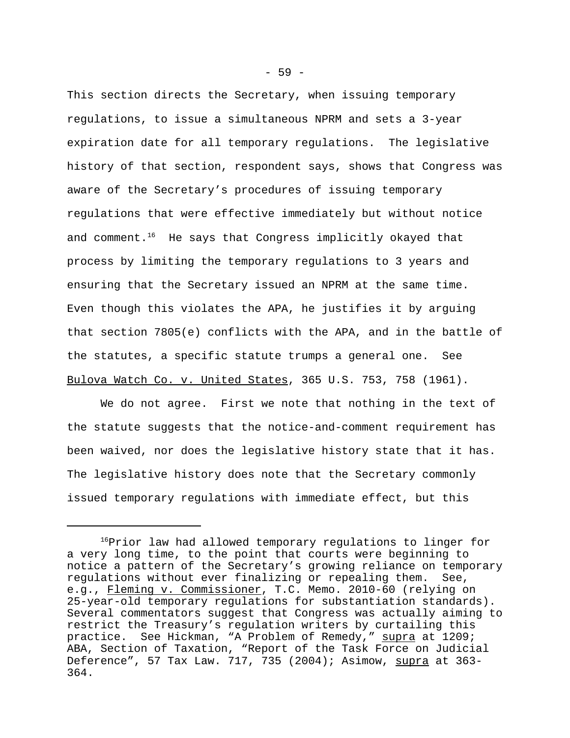This section directs the Secretary, when issuing temporary regulations, to issue a simultaneous NPRM and sets a 3-year expiration date for all temporary regulations. The legislative history of that section, respondent says, shows that Congress was aware of the Secretary's procedures of issuing temporary regulations that were effective immediately but without notice and comment.<sup>16</sup> He says that Congress implicitly okayed that process by limiting the temporary regulations to 3 years and ensuring that the Secretary issued an NPRM at the same time. Even though this violates the APA, he justifies it by arguing that section 7805(e) conflicts with the APA, and in the battle of the statutes, a specific statute trumps a general one. See Bulova Watch Co. v. United States, 365 U.S. 753, 758 (1961).

We do not agree. First we note that nothing in the text of the statute suggests that the notice-and-comment requirement has been waived, nor does the legislative history state that it has. The legislative history does note that the Secretary commonly issued temporary regulations with immediate effect, but this

<sup>&</sup>lt;sup>16</sup>Prior law had allowed temporary regulations to linger for a very long time, to the point that courts were beginning to notice a pattern of the Secretary's growing reliance on temporary regulations without ever finalizing or repealing them. See, e.g., Fleming v. Commissioner, T.C. Memo. 2010-60 (relying on 25-year-old temporary regulations for substantiation standards). Several commentators suggest that Congress was actually aiming to restrict the Treasury's regulation writers by curtailing this practice. See Hickman, "A Problem of Remedy," supra at 1209; ABA, Section of Taxation, "Report of the Task Force on Judicial Deference", 57 Tax Law. 717, 735 (2004); Asimow, supra at 363- 364.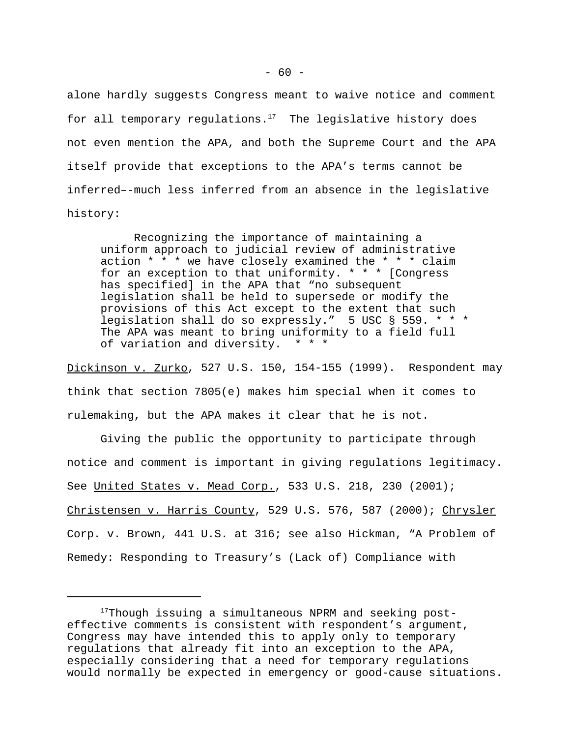alone hardly suggests Congress meant to waive notice and comment for all temporary regulations.<sup>17</sup> The legislative history does not even mention the APA, and both the Supreme Court and the APA itself provide that exceptions to the APA's terms cannot be inferred–-much less inferred from an absence in the legislative history:

Recognizing the importance of maintaining a uniform approach to judicial review of administrative action \* \* \* we have closely examined the \* \* \* claim for an exception to that uniformity.  $* * *$  [Congress] has specified] in the APA that "no subsequent legislation shall be held to supersede or modify the provisions of this Act except to the extent that such legislation shall do so expressly." 5 USC § 559. \* \* \* The APA was meant to bring uniformity to a field full of variation and diversity. \* \* \*

Dickinson v. Zurko, 527 U.S. 150, 154-155 (1999). Respondent may think that section 7805(e) makes him special when it comes to rulemaking, but the APA makes it clear that he is not.

Giving the public the opportunity to participate through notice and comment is important in giving regulations legitimacy. See United States v. Mead Corp., 533 U.S. 218, 230 (2001); Christensen v. Harris County, 529 U.S. 576, 587 (2000); Chrysler Corp. v. Brown, 441 U.S. at 316; see also Hickman, "A Problem of Remedy: Responding to Treasury's (Lack of) Compliance with

<sup>&</sup>lt;sup>17</sup>Though issuing a simultaneous NPRM and seeking posteffective comments is consistent with respondent's argument, Congress may have intended this to apply only to temporary regulations that already fit into an exception to the APA, especially considering that a need for temporary regulations would normally be expected in emergency or good-cause situations.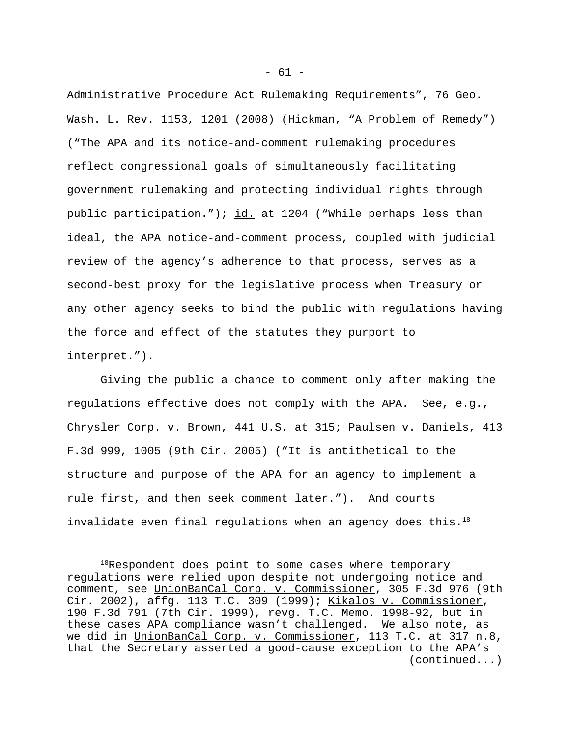Administrative Procedure Act Rulemaking Requirements", 76 Geo. Wash. L. Rev. 1153, 1201 (2008) (Hickman, "A Problem of Remedy") ("The APA and its notice-and-comment rulemaking procedures reflect congressional goals of simultaneously facilitating government rulemaking and protecting individual rights through public participation."); id. at 1204 ("While perhaps less than ideal, the APA notice-and-comment process, coupled with judicial review of the agency's adherence to that process, serves as a second-best proxy for the legislative process when Treasury or any other agency seeks to bind the public with regulations having the force and effect of the statutes they purport to interpret.").

Giving the public a chance to comment only after making the regulations effective does not comply with the APA. See, e.g., Chrysler Corp. v. Brown, 441 U.S. at 315; Paulsen v. Daniels, 413 F.3d 999, 1005 (9th Cir. 2005) ("It is antithetical to the structure and purpose of the APA for an agency to implement a rule first, and then seek comment later."). And courts invalidate even final regulations when an agency does this. $18$ 

<sup>&</sup>lt;sup>18</sup>Respondent does point to some cases where temporary regulations were relied upon despite not undergoing notice and comment, see UnionBanCal Corp. v. Commissioner, 305 F.3d 976 (9th Cir. 2002), affg. 113 T.C. 309 (1999); Kikalos v. Commissioner, 190 F.3d 791 (7th Cir. 1999), revg. T.C. Memo. 1998-92, but in these cases APA compliance wasn't challenged. We also note, as we did in UnionBanCal Corp. v. Commissioner, 113 T.C. at 317 n.8, that the Secretary asserted a good-cause exception to the APA's (continued...)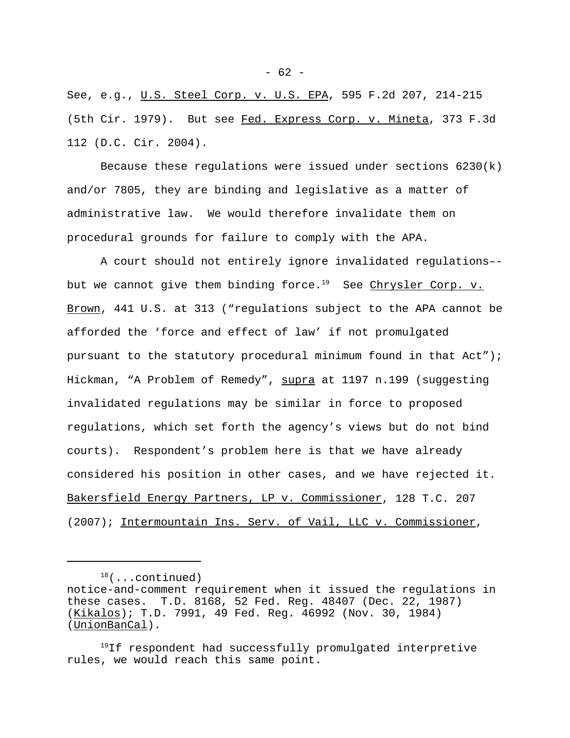See, e.g., U.S. Steel Corp. v. U.S. EPA, 595 F.2d 207, 214-215 (5th Cir. 1979). But see Fed. Express Corp. v. Mineta, 373 F.3d 112 (D.C. Cir. 2004).

Because these requlations were issued under sections  $6230(k)$ and/or 7805, they are binding and legislative as a matter of administrative law. We would therefore invalidate them on procedural grounds for failure to comply with the APA.

A court should not entirely ignore invalidated regulations– but we cannot give them binding force.<sup>19</sup> See Chrysler Corp. v. Brown, 441 U.S. at 313 ("regulations subject to the APA cannot be afforded the 'force and effect of law' if not promulgated pursuant to the statutory procedural minimum found in that Act"); Hickman, "A Problem of Remedy", supra at 1197 n.199 (suggesting invalidated regulations may be similar in force to proposed regulations, which set forth the agency's views but do not bind courts). Respondent's problem here is that we have already considered his position in other cases, and we have rejected it. Bakersfield Energy Partners, LP v. Commissioner, 128 T.C. 207 (2007); Intermountain Ins. Serv. of Vail, LLC v. Commissioner,

 $18($ ...continued)

notice-and-comment requirement when it issued the regulations in these cases. T.D. 8168, 52 Fed. Reg. 48407 (Dec. 22, 1987) (Kikalos); T.D. 7991, 49 Fed. Reg. 46992 (Nov. 30, 1984) (UnionBanCal).

 $19$ If respondent had successfully promulgated interpretive rules, we would reach this same point.